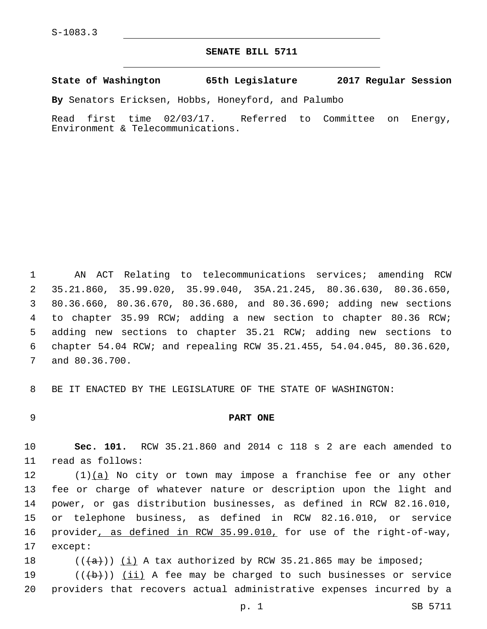## **SENATE BILL 5711**

**State of Washington 65th Legislature 2017 Regular Session**

**By** Senators Ericksen, Hobbs, Honeyford, and Palumbo

Read first time 02/03/17. Referred to Committee on Energy, Environment & Telecommunications.

 AN ACT Relating to telecommunications services; amending RCW 35.21.860, 35.99.020, 35.99.040, 35A.21.245, 80.36.630, 80.36.650, 80.36.660, 80.36.670, 80.36.680, and 80.36.690; adding new sections to chapter 35.99 RCW; adding a new section to chapter 80.36 RCW; adding new sections to chapter 35.21 RCW; adding new sections to chapter 54.04 RCW; and repealing RCW 35.21.455, 54.04.045, 80.36.620, 7 and 80.36.700.

8 BE IT ENACTED BY THE LEGISLATURE OF THE STATE OF WASHINGTON:

## 9 **PART ONE**

10 **Sec. 101.** RCW 35.21.860 and 2014 c 118 s 2 are each amended to 11 read as follows:

 $(1)(a)$  No city or town may impose a franchise fee or any other fee or charge of whatever nature or description upon the light and power, or gas distribution businesses, as defined in RCW 82.16.010, or telephone business, as defined in RCW 82.16.010, or service 16 provider, as defined in RCW 35.99.010, for use of the right-of-way, 17 except:

18  $((+a))$   $(i)$  A tax authorized by RCW 35.21.865 may be imposed;

19  $((+b))$  (ii) A fee may be charged to such businesses or service 20 providers that recovers actual administrative expenses incurred by a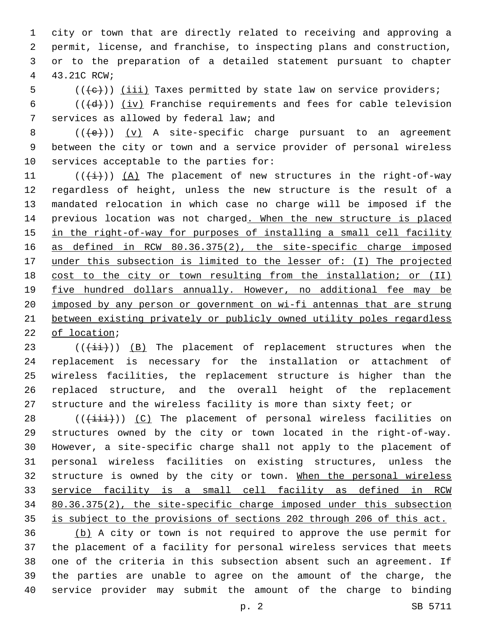city or town that are directly related to receiving and approving a permit, license, and franchise, to inspecting plans and construction, or to the preparation of a detailed statement pursuant to chapter 43.21C RCW;4

(( $\left(\frac{1}{11}\right)$  (iii) Taxes permitted by state law on service providers;

6 ( $(\overline{d})$ ) (iv) Franchise requirements and fees for cable television 7 services as allowed by federal law; and

8  $((+e))$   $(y)$  A site-specific charge pursuant to an agreement between the city or town and a service provider of personal wireless services acceptable to the parties for:

 $((\overrightarrow{i}))$   $(A)$  The placement of new structures in the right-of-way regardless of height, unless the new structure is the result of a mandated relocation in which case no charge will be imposed if the previous location was not charged. When the new structure is placed in the right-of-way for purposes of installing a small cell facility 16 as defined in RCW 80.36.375(2), the site-specific charge imposed under this subsection is limited to the lesser of: (I) The projected 18 cost to the city or town resulting from the installation; or (II) five hundred dollars annually. However, no additional fee may be imposed by any person or government on wi-fi antennas that are strung between existing privately or publicly owned utility poles regardless 22 of location;

 (( $(i+i)$ )) (B) The placement of replacement structures when the replacement is necessary for the installation or attachment of wireless facilities, the replacement structure is higher than the replaced structure, and the overall height of the replacement structure and the wireless facility is more than sixty feet; or

 $((\overrightarrow{iii}))$  (C) The placement of personal wireless facilities on structures owned by the city or town located in the right-of-way. However, a site-specific charge shall not apply to the placement of personal wireless facilities on existing structures, unless the 32 structure is owned by the city or town. When the personal wireless service facility is a small cell facility as defined in RCW 80.36.375(2), the site-specific charge imposed under this subsection is subject to the provisions of sections 202 through 206 of this act.

 (b) A city or town is not required to approve the use permit for the placement of a facility for personal wireless services that meets one of the criteria in this subsection absent such an agreement. If the parties are unable to agree on the amount of the charge, the service provider may submit the amount of the charge to binding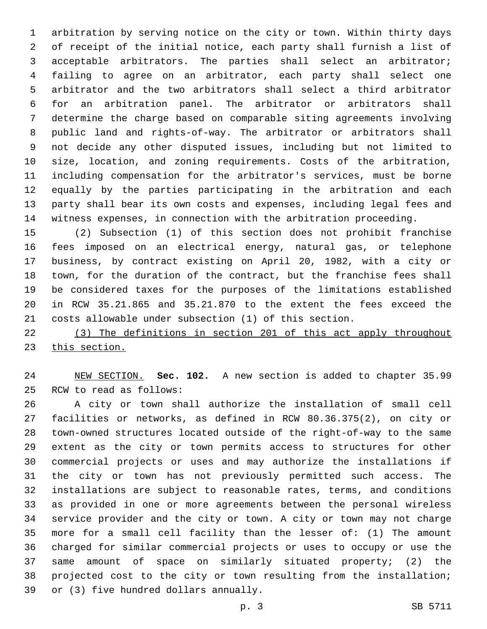arbitration by serving notice on the city or town. Within thirty days of receipt of the initial notice, each party shall furnish a list of acceptable arbitrators. The parties shall select an arbitrator; failing to agree on an arbitrator, each party shall select one arbitrator and the two arbitrators shall select a third arbitrator for an arbitration panel. The arbitrator or arbitrators shall determine the charge based on comparable siting agreements involving public land and rights-of-way. The arbitrator or arbitrators shall not decide any other disputed issues, including but not limited to size, location, and zoning requirements. Costs of the arbitration, including compensation for the arbitrator's services, must be borne equally by the parties participating in the arbitration and each party shall bear its own costs and expenses, including legal fees and witness expenses, in connection with the arbitration proceeding.

 (2) Subsection (1) of this section does not prohibit franchise fees imposed on an electrical energy, natural gas, or telephone business, by contract existing on April 20, 1982, with a city or town, for the duration of the contract, but the franchise fees shall be considered taxes for the purposes of the limitations established in RCW 35.21.865 and 35.21.870 to the extent the fees exceed the costs allowable under subsection (1) of this section.

 (3) The definitions in section 201 of this act apply throughout this section.

 NEW SECTION. **Sec. 102.** A new section is added to chapter 35.99 25 RCW to read as follows:

 A city or town shall authorize the installation of small cell facilities or networks, as defined in RCW 80.36.375(2), on city or town-owned structures located outside of the right-of-way to the same extent as the city or town permits access to structures for other commercial projects or uses and may authorize the installations if the city or town has not previously permitted such access. The installations are subject to reasonable rates, terms, and conditions as provided in one or more agreements between the personal wireless service provider and the city or town. A city or town may not charge more for a small cell facility than the lesser of: (1) The amount charged for similar commercial projects or uses to occupy or use the same amount of space on similarly situated property; (2) the projected cost to the city or town resulting from the installation; 39 or (3) five hundred dollars annually.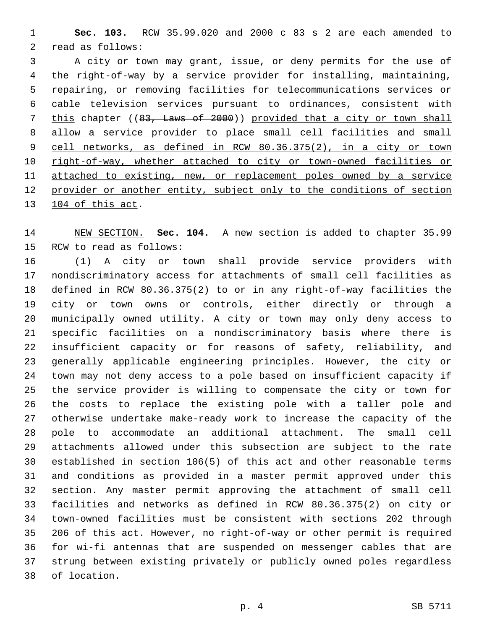**Sec. 103.** RCW 35.99.020 and 2000 c 83 s 2 are each amended to 2 read as follows:

 A city or town may grant, issue, or deny permits for the use of the right-of-way by a service provider for installing, maintaining, repairing, or removing facilities for telecommunications services or cable television services pursuant to ordinances, consistent with this chapter ((83, Laws of 2000)) provided that a city or town shall allow a service provider to place small cell facilities and small cell networks, as defined in RCW 80.36.375(2), in a city or town 10 right-of-way, whether attached to city or town-owned facilities or attached to existing, new, or replacement poles owned by a service provider or another entity, subject only to the conditions of section 13 104 of this act.

 NEW SECTION. **Sec. 104.** A new section is added to chapter 35.99 15 RCW to read as follows:

 (1) A city or town shall provide service providers with nondiscriminatory access for attachments of small cell facilities as defined in RCW 80.36.375(2) to or in any right-of-way facilities the city or town owns or controls, either directly or through a municipally owned utility. A city or town may only deny access to specific facilities on a nondiscriminatory basis where there is insufficient capacity or for reasons of safety, reliability, and generally applicable engineering principles. However, the city or town may not deny access to a pole based on insufficient capacity if the service provider is willing to compensate the city or town for the costs to replace the existing pole with a taller pole and otherwise undertake make-ready work to increase the capacity of the pole to accommodate an additional attachment. The small cell attachments allowed under this subsection are subject to the rate established in section 106(5) of this act and other reasonable terms and conditions as provided in a master permit approved under this section. Any master permit approving the attachment of small cell facilities and networks as defined in RCW 80.36.375(2) on city or town-owned facilities must be consistent with sections 202 through 206 of this act. However, no right-of-way or other permit is required for wi-fi antennas that are suspended on messenger cables that are strung between existing privately or publicly owned poles regardless 38 of location.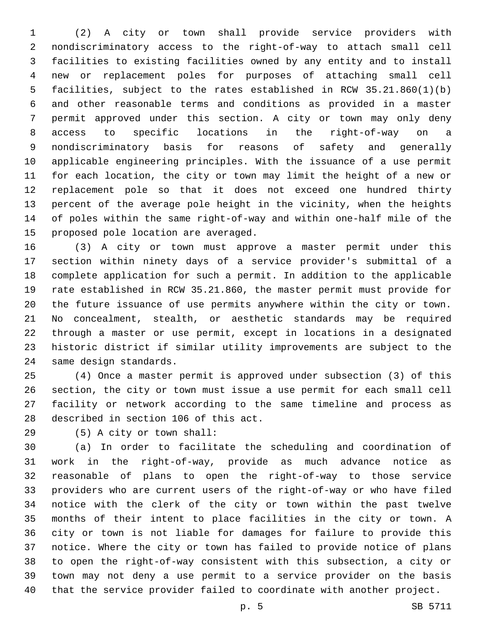(2) A city or town shall provide service providers with nondiscriminatory access to the right-of-way to attach small cell facilities to existing facilities owned by any entity and to install new or replacement poles for purposes of attaching small cell facilities, subject to the rates established in RCW 35.21.860(1)(b) and other reasonable terms and conditions as provided in a master permit approved under this section. A city or town may only deny access to specific locations in the right-of-way on a nondiscriminatory basis for reasons of safety and generally applicable engineering principles. With the issuance of a use permit for each location, the city or town may limit the height of a new or replacement pole so that it does not exceed one hundred thirty percent of the average pole height in the vicinity, when the heights of poles within the same right-of-way and within one-half mile of the 15 proposed pole location are averaged.

 (3) A city or town must approve a master permit under this section within ninety days of a service provider's submittal of a complete application for such a permit. In addition to the applicable rate established in RCW 35.21.860, the master permit must provide for the future issuance of use permits anywhere within the city or town. No concealment, stealth, or aesthetic standards may be required through a master or use permit, except in locations in a designated historic district if similar utility improvements are subject to the 24 same design standards.

 (4) Once a master permit is approved under subsection (3) of this section, the city or town must issue a use permit for each small cell facility or network according to the same timeline and process as 28 described in section 106 of this act.

(5) A city or town shall:29

 (a) In order to facilitate the scheduling and coordination of work in the right-of-way, provide as much advance notice as reasonable of plans to open the right-of-way to those service providers who are current users of the right-of-way or who have filed notice with the clerk of the city or town within the past twelve months of their intent to place facilities in the city or town. A city or town is not liable for damages for failure to provide this notice. Where the city or town has failed to provide notice of plans to open the right-of-way consistent with this subsection, a city or town may not deny a use permit to a service provider on the basis that the service provider failed to coordinate with another project.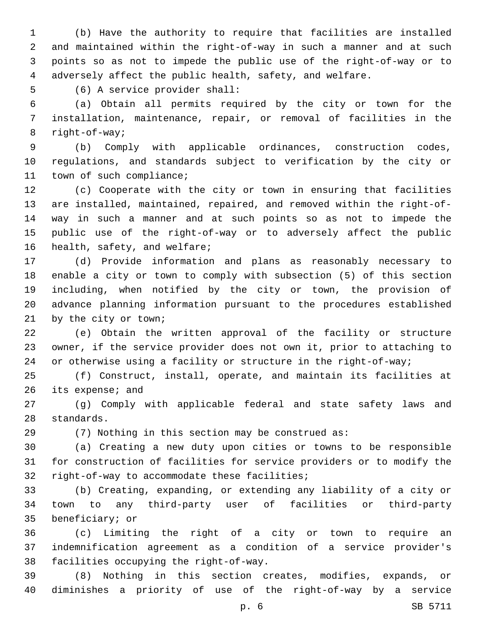(b) Have the authority to require that facilities are installed and maintained within the right-of-way in such a manner and at such points so as not to impede the public use of the right-of-way or to adversely affect the public health, safety, and welfare.

5 (6) A service provider shall:

 (a) Obtain all permits required by the city or town for the installation, maintenance, repair, or removal of facilities in the 8 right-of-way;

 (b) Comply with applicable ordinances, construction codes, regulations, and standards subject to verification by the city or 11 town of such compliance;

 (c) Cooperate with the city or town in ensuring that facilities are installed, maintained, repaired, and removed within the right-of- way in such a manner and at such points so as not to impede the public use of the right-of-way or to adversely affect the public 16 health, safety, and welfare;

 (d) Provide information and plans as reasonably necessary to enable a city or town to comply with subsection (5) of this section including, when notified by the city or town, the provision of advance planning information pursuant to the procedures established 21 by the city or town;

 (e) Obtain the written approval of the facility or structure owner, if the service provider does not own it, prior to attaching to or otherwise using a facility or structure in the right-of-way;

 (f) Construct, install, operate, and maintain its facilities at 26 its expense; and

 (g) Comply with applicable federal and state safety laws and 28 standards.

(7) Nothing in this section may be construed as:

 (a) Creating a new duty upon cities or towns to be responsible for construction of facilities for service providers or to modify the 32 right-of-way to accommodate these facilities;

 (b) Creating, expanding, or extending any liability of a city or town to any third-party user of facilities or third-party 35 beneficiary; or

 (c) Limiting the right of a city or town to require an indemnification agreement as a condition of a service provider's 38 facilities occupying the right-of-way.

 (8) Nothing in this section creates, modifies, expands, or diminishes a priority of use of the right-of-way by a service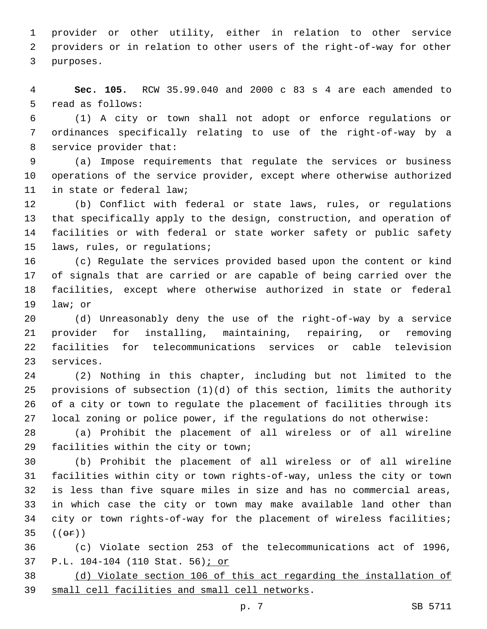provider or other utility, either in relation to other service providers or in relation to other users of the right-of-way for other 3 purposes.

 **Sec. 105.** RCW 35.99.040 and 2000 c 83 s 4 are each amended to 5 read as follows:

 (1) A city or town shall not adopt or enforce regulations or ordinances specifically relating to use of the right-of-way by a 8 service provider that:

 (a) Impose requirements that regulate the services or business operations of the service provider, except where otherwise authorized 11 in state or federal law;

 (b) Conflict with federal or state laws, rules, or regulations that specifically apply to the design, construction, and operation of facilities or with federal or state worker safety or public safety 15 laws, rules, or regulations;

 (c) Regulate the services provided based upon the content or kind of signals that are carried or are capable of being carried over the facilities, except where otherwise authorized in state or federal 19 law; or

 (d) Unreasonably deny the use of the right-of-way by a service provider for installing, maintaining, repairing, or removing facilities for telecommunications services or cable television 23 services.

 (2) Nothing in this chapter, including but not limited to the provisions of subsection (1)(d) of this section, limits the authority of a city or town to regulate the placement of facilities through its local zoning or police power, if the regulations do not otherwise:

 (a) Prohibit the placement of all wireless or of all wireline 29 facilities within the city or town;

 (b) Prohibit the placement of all wireless or of all wireline facilities within city or town rights-of-way, unless the city or town is less than five square miles in size and has no commercial areas, in which case the city or town may make available land other than city or town rights-of-way for the placement of wireless facilities;  $((e^{\frac{r}{2}}))$ 

 (c) Violate section 253 of the telecommunications act of 1996, P.L. 104-104 (110 Stat. 56); or

 (d) Violate section 106 of this act regarding the installation of 39 small cell facilities and small cell networks.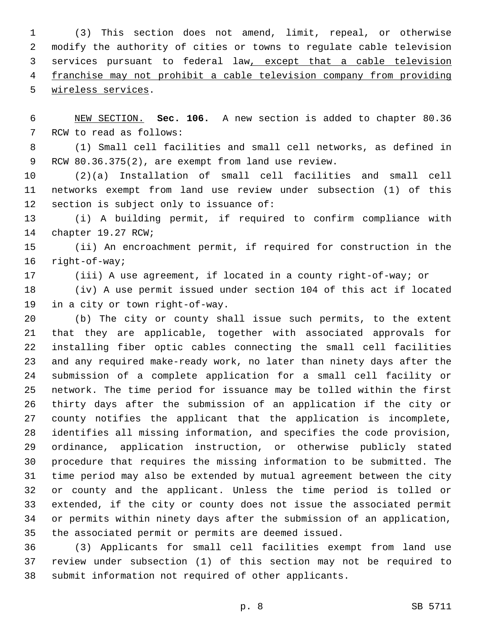(3) This section does not amend, limit, repeal, or otherwise modify the authority of cities or towns to regulate cable television services pursuant to federal law, except that a cable television franchise may not prohibit a cable television company from providing 5 wireless services.

 NEW SECTION. **Sec. 106.** A new section is added to chapter 80.36 7 RCW to read as follows:

 (1) Small cell facilities and small cell networks, as defined in 9 RCW 80.36.375(2), are exempt from land use review.

 (2)(a) Installation of small cell facilities and small cell networks exempt from land use review under subsection (1) of this 12 section is subject only to issuance of:

 (i) A building permit, if required to confirm compliance with 14 chapter 19.27 RCW;

 (ii) An encroachment permit, if required for construction in the 16 right-of-way;

(iii) A use agreement, if located in a county right-of-way; or

 (iv) A use permit issued under section 104 of this act if located 19 in a city or town right-of-way.

 (b) The city or county shall issue such permits, to the extent that they are applicable, together with associated approvals for installing fiber optic cables connecting the small cell facilities and any required make-ready work, no later than ninety days after the submission of a complete application for a small cell facility or network. The time period for issuance may be tolled within the first thirty days after the submission of an application if the city or county notifies the applicant that the application is incomplete, identifies all missing information, and specifies the code provision, ordinance, application instruction, or otherwise publicly stated procedure that requires the missing information to be submitted. The time period may also be extended by mutual agreement between the city or county and the applicant. Unless the time period is tolled or extended, if the city or county does not issue the associated permit or permits within ninety days after the submission of an application, the associated permit or permits are deemed issued.

 (3) Applicants for small cell facilities exempt from land use review under subsection (1) of this section may not be required to submit information not required of other applicants.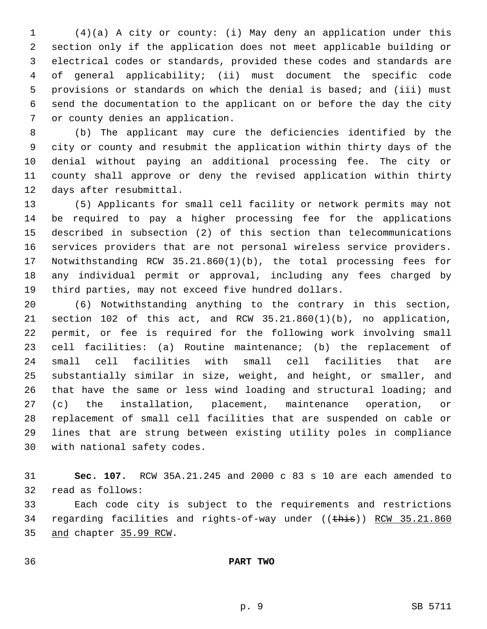(4)(a) A city or county: (i) May deny an application under this section only if the application does not meet applicable building or electrical codes or standards, provided these codes and standards are of general applicability; (ii) must document the specific code provisions or standards on which the denial is based; and (iii) must send the documentation to the applicant on or before the day the city 7 or county denies an application.

 (b) The applicant may cure the deficiencies identified by the city or county and resubmit the application within thirty days of the denial without paying an additional processing fee. The city or county shall approve or deny the revised application within thirty 12 days after resubmittal.

 (5) Applicants for small cell facility or network permits may not be required to pay a higher processing fee for the applications described in subsection (2) of this section than telecommunications services providers that are not personal wireless service providers. Notwithstanding RCW 35.21.860(1)(b), the total processing fees for any individual permit or approval, including any fees charged by third parties, may not exceed five hundred dollars.

 (6) Notwithstanding anything to the contrary in this section, section 102 of this act, and RCW 35.21.860(1)(b), no application, permit, or fee is required for the following work involving small cell facilities: (a) Routine maintenance; (b) the replacement of small cell facilities with small cell facilities that are substantially similar in size, weight, and height, or smaller, and that have the same or less wind loading and structural loading; and (c) the installation, placement, maintenance operation, or replacement of small cell facilities that are suspended on cable or lines that are strung between existing utility poles in compliance 30 with national safety codes.

 **Sec. 107.** RCW 35A.21.245 and 2000 c 83 s 10 are each amended to 32 read as follows:

 Each code city is subject to the requirements and restrictions 34 regarding facilities and rights-of-way under ((this)) RCW 35.21.860 35 and chapter 35.99 RCW.

**PART TWO**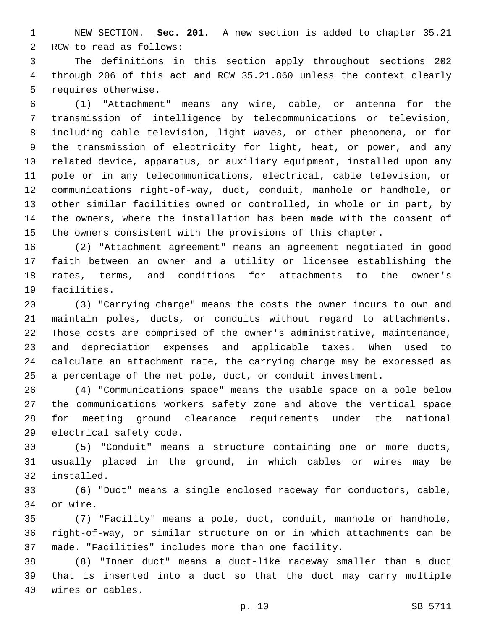NEW SECTION. **Sec. 201.** A new section is added to chapter 35.21 2 RCW to read as follows:

 The definitions in this section apply throughout sections 202 through 206 of this act and RCW 35.21.860 unless the context clearly 5 requires otherwise.

 (1) "Attachment" means any wire, cable, or antenna for the transmission of intelligence by telecommunications or television, including cable television, light waves, or other phenomena, or for the transmission of electricity for light, heat, or power, and any related device, apparatus, or auxiliary equipment, installed upon any pole or in any telecommunications, electrical, cable television, or communications right-of-way, duct, conduit, manhole or handhole, or other similar facilities owned or controlled, in whole or in part, by the owners, where the installation has been made with the consent of the owners consistent with the provisions of this chapter.

 (2) "Attachment agreement" means an agreement negotiated in good faith between an owner and a utility or licensee establishing the rates, terms, and conditions for attachments to the owner's 19 facilities.

 (3) "Carrying charge" means the costs the owner incurs to own and maintain poles, ducts, or conduits without regard to attachments. Those costs are comprised of the owner's administrative, maintenance, and depreciation expenses and applicable taxes. When used to calculate an attachment rate, the carrying charge may be expressed as a percentage of the net pole, duct, or conduit investment.

 (4) "Communications space" means the usable space on a pole below the communications workers safety zone and above the vertical space for meeting ground clearance requirements under the national 29 electrical safety code.

 (5) "Conduit" means a structure containing one or more ducts, usually placed in the ground, in which cables or wires may be 32 installed.

 (6) "Duct" means a single enclosed raceway for conductors, cable, 34 or wire.

 (7) "Facility" means a pole, duct, conduit, manhole or handhole, right-of-way, or similar structure on or in which attachments can be made. "Facilities" includes more than one facility.

 (8) "Inner duct" means a duct-like raceway smaller than a duct that is inserted into a duct so that the duct may carry multiple 40 wires or cables.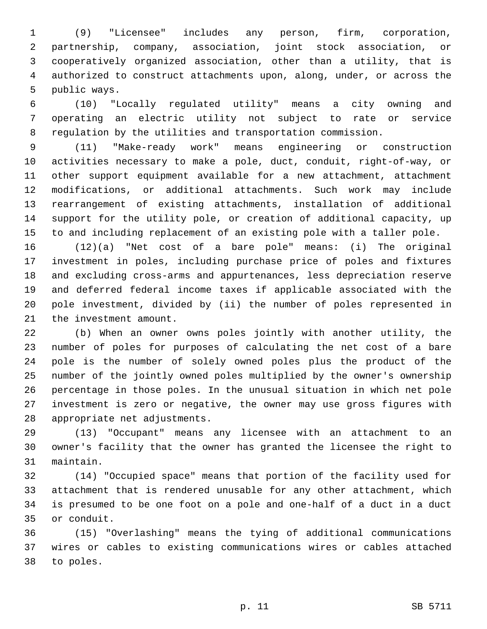(9) "Licensee" includes any person, firm, corporation, partnership, company, association, joint stock association, or cooperatively organized association, other than a utility, that is authorized to construct attachments upon, along, under, or across the 5 public ways.

 (10) "Locally regulated utility" means a city owning and operating an electric utility not subject to rate or service regulation by the utilities and transportation commission.

 (11) "Make-ready work" means engineering or construction activities necessary to make a pole, duct, conduit, right-of-way, or other support equipment available for a new attachment, attachment modifications, or additional attachments. Such work may include rearrangement of existing attachments, installation of additional support for the utility pole, or creation of additional capacity, up to and including replacement of an existing pole with a taller pole.

 (12)(a) "Net cost of a bare pole" means: (i) The original investment in poles, including purchase price of poles and fixtures and excluding cross-arms and appurtenances, less depreciation reserve and deferred federal income taxes if applicable associated with the pole investment, divided by (ii) the number of poles represented in 21 the investment amount.

 (b) When an owner owns poles jointly with another utility, the number of poles for purposes of calculating the net cost of a bare pole is the number of solely owned poles plus the product of the number of the jointly owned poles multiplied by the owner's ownership percentage in those poles. In the unusual situation in which net pole investment is zero or negative, the owner may use gross figures with 28 appropriate net adjustments.

 (13) "Occupant" means any licensee with an attachment to an owner's facility that the owner has granted the licensee the right to 31 maintain.

 (14) "Occupied space" means that portion of the facility used for attachment that is rendered unusable for any other attachment, which is presumed to be one foot on a pole and one-half of a duct in a duct 35 or conduit.

 (15) "Overlashing" means the tying of additional communications wires or cables to existing communications wires or cables attached 38 to poles.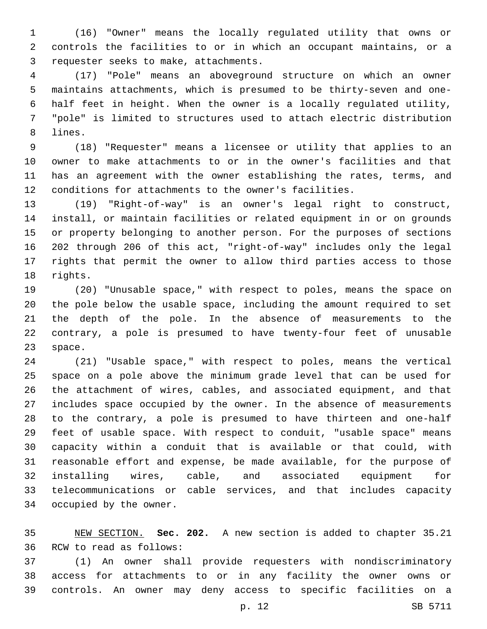(16) "Owner" means the locally regulated utility that owns or controls the facilities to or in which an occupant maintains, or a 3 requester seeks to make, attachments.

 (17) "Pole" means an aboveground structure on which an owner maintains attachments, which is presumed to be thirty-seven and one- half feet in height. When the owner is a locally regulated utility, "pole" is limited to structures used to attach electric distribution 8 lines.

 (18) "Requester" means a licensee or utility that applies to an owner to make attachments to or in the owner's facilities and that has an agreement with the owner establishing the rates, terms, and conditions for attachments to the owner's facilities.

 (19) "Right-of-way" is an owner's legal right to construct, install, or maintain facilities or related equipment in or on grounds or property belonging to another person. For the purposes of sections 202 through 206 of this act, "right-of-way" includes only the legal rights that permit the owner to allow third parties access to those 18 rights.

 (20) "Unusable space," with respect to poles, means the space on the pole below the usable space, including the amount required to set the depth of the pole. In the absence of measurements to the contrary, a pole is presumed to have twenty-four feet of unusable 23 space.

 (21) "Usable space," with respect to poles, means the vertical space on a pole above the minimum grade level that can be used for the attachment of wires, cables, and associated equipment, and that includes space occupied by the owner. In the absence of measurements to the contrary, a pole is presumed to have thirteen and one-half feet of usable space. With respect to conduit, "usable space" means capacity within a conduit that is available or that could, with reasonable effort and expense, be made available, for the purpose of installing wires, cable, and associated equipment for telecommunications or cable services, and that includes capacity 34 occupied by the owner.

 NEW SECTION. **Sec. 202.** A new section is added to chapter 35.21 36 RCW to read as follows:

 (1) An owner shall provide requesters with nondiscriminatory access for attachments to or in any facility the owner owns or controls. An owner may deny access to specific facilities on a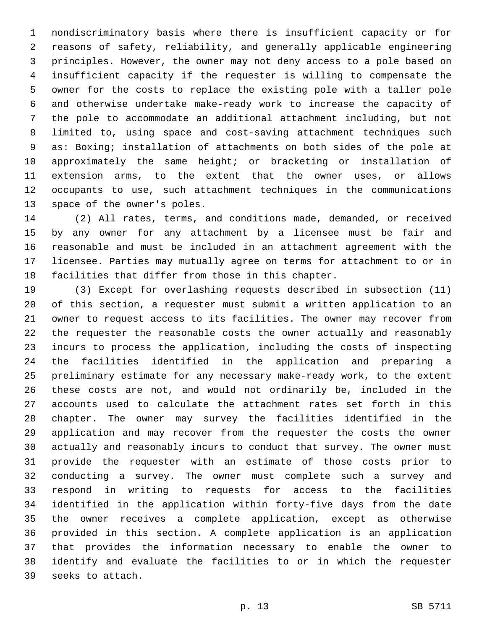nondiscriminatory basis where there is insufficient capacity or for reasons of safety, reliability, and generally applicable engineering principles. However, the owner may not deny access to a pole based on insufficient capacity if the requester is willing to compensate the owner for the costs to replace the existing pole with a taller pole and otherwise undertake make-ready work to increase the capacity of the pole to accommodate an additional attachment including, but not limited to, using space and cost-saving attachment techniques such as: Boxing; installation of attachments on both sides of the pole at approximately the same height; or bracketing or installation of extension arms, to the extent that the owner uses, or allows occupants to use, such attachment techniques in the communications 13 space of the owner's poles.

 (2) All rates, terms, and conditions made, demanded, or received by any owner for any attachment by a licensee must be fair and reasonable and must be included in an attachment agreement with the licensee. Parties may mutually agree on terms for attachment to or in facilities that differ from those in this chapter.

 (3) Except for overlashing requests described in subsection (11) of this section, a requester must submit a written application to an owner to request access to its facilities. The owner may recover from the requester the reasonable costs the owner actually and reasonably incurs to process the application, including the costs of inspecting the facilities identified in the application and preparing a preliminary estimate for any necessary make-ready work, to the extent these costs are not, and would not ordinarily be, included in the accounts used to calculate the attachment rates set forth in this chapter. The owner may survey the facilities identified in the application and may recover from the requester the costs the owner actually and reasonably incurs to conduct that survey. The owner must provide the requester with an estimate of those costs prior to conducting a survey. The owner must complete such a survey and respond in writing to requests for access to the facilities identified in the application within forty-five days from the date the owner receives a complete application, except as otherwise provided in this section. A complete application is an application that provides the information necessary to enable the owner to identify and evaluate the facilities to or in which the requester 39 seeks to attach.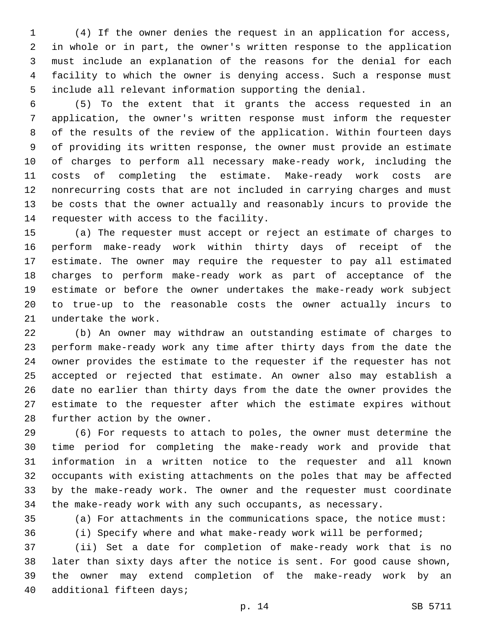(4) If the owner denies the request in an application for access, in whole or in part, the owner's written response to the application must include an explanation of the reasons for the denial for each facility to which the owner is denying access. Such a response must include all relevant information supporting the denial.

 (5) To the extent that it grants the access requested in an application, the owner's written response must inform the requester of the results of the review of the application. Within fourteen days of providing its written response, the owner must provide an estimate of charges to perform all necessary make-ready work, including the costs of completing the estimate. Make-ready work costs are nonrecurring costs that are not included in carrying charges and must be costs that the owner actually and reasonably incurs to provide the 14 requester with access to the facility.

 (a) The requester must accept or reject an estimate of charges to perform make-ready work within thirty days of receipt of the estimate. The owner may require the requester to pay all estimated charges to perform make-ready work as part of acceptance of the estimate or before the owner undertakes the make-ready work subject to true-up to the reasonable costs the owner actually incurs to 21 undertake the work.

 (b) An owner may withdraw an outstanding estimate of charges to perform make-ready work any time after thirty days from the date the owner provides the estimate to the requester if the requester has not accepted or rejected that estimate. An owner also may establish a date no earlier than thirty days from the date the owner provides the estimate to the requester after which the estimate expires without 28 further action by the owner.

 (6) For requests to attach to poles, the owner must determine the time period for completing the make-ready work and provide that information in a written notice to the requester and all known occupants with existing attachments on the poles that may be affected by the make-ready work. The owner and the requester must coordinate the make-ready work with any such occupants, as necessary.

(a) For attachments in the communications space, the notice must:

(i) Specify where and what make-ready work will be performed;

 (ii) Set a date for completion of make-ready work that is no later than sixty days after the notice is sent. For good cause shown, the owner may extend completion of the make-ready work by an 40 additional fifteen days;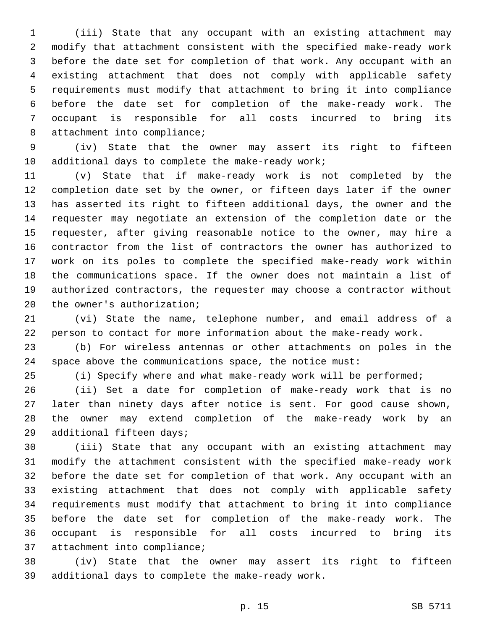(iii) State that any occupant with an existing attachment may modify that attachment consistent with the specified make-ready work before the date set for completion of that work. Any occupant with an existing attachment that does not comply with applicable safety requirements must modify that attachment to bring it into compliance before the date set for completion of the make-ready work. The occupant is responsible for all costs incurred to bring its 8 attachment into compliance;

 (iv) State that the owner may assert its right to fifteen 10 additional days to complete the make-ready work;

 (v) State that if make-ready work is not completed by the completion date set by the owner, or fifteen days later if the owner has asserted its right to fifteen additional days, the owner and the requester may negotiate an extension of the completion date or the requester, after giving reasonable notice to the owner, may hire a contractor from the list of contractors the owner has authorized to work on its poles to complete the specified make-ready work within the communications space. If the owner does not maintain a list of authorized contractors, the requester may choose a contractor without 20 the owner's authorization;

 (vi) State the name, telephone number, and email address of a person to contact for more information about the make-ready work.

 (b) For wireless antennas or other attachments on poles in the space above the communications space, the notice must:

(i) Specify where and what make-ready work will be performed;

 (ii) Set a date for completion of make-ready work that is no later than ninety days after notice is sent. For good cause shown, the owner may extend completion of the make-ready work by an 29 additional fifteen days;

 (iii) State that any occupant with an existing attachment may modify the attachment consistent with the specified make-ready work before the date set for completion of that work. Any occupant with an existing attachment that does not comply with applicable safety requirements must modify that attachment to bring it into compliance before the date set for completion of the make-ready work. The occupant is responsible for all costs incurred to bring its 37 attachment into compliance;

 (iv) State that the owner may assert its right to fifteen 39 additional days to complete the make-ready work.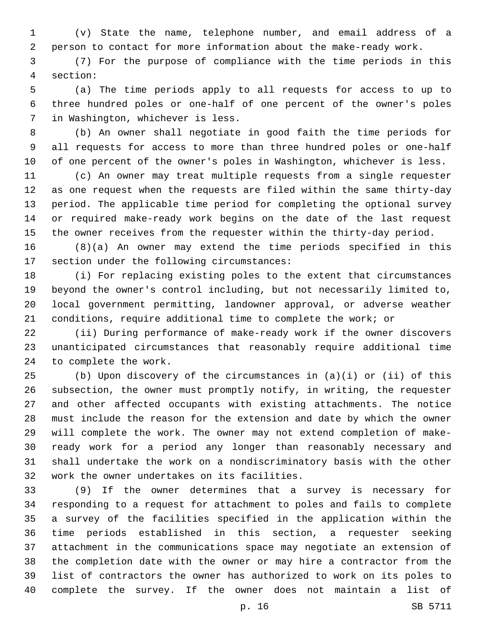(v) State the name, telephone number, and email address of a person to contact for more information about the make-ready work.

 (7) For the purpose of compliance with the time periods in this section:4

 (a) The time periods apply to all requests for access to up to three hundred poles or one-half of one percent of the owner's poles 7 in Washington, whichever is less.

 (b) An owner shall negotiate in good faith the time periods for all requests for access to more than three hundred poles or one-half of one percent of the owner's poles in Washington, whichever is less.

 (c) An owner may treat multiple requests from a single requester as one request when the requests are filed within the same thirty-day period. The applicable time period for completing the optional survey or required make-ready work begins on the date of the last request the owner receives from the requester within the thirty-day period.

 (8)(a) An owner may extend the time periods specified in this 17 section under the following circumstances:

 (i) For replacing existing poles to the extent that circumstances beyond the owner's control including, but not necessarily limited to, local government permitting, landowner approval, or adverse weather conditions, require additional time to complete the work; or

 (ii) During performance of make-ready work if the owner discovers unanticipated circumstances that reasonably require additional time 24 to complete the work.

 (b) Upon discovery of the circumstances in (a)(i) or (ii) of this subsection, the owner must promptly notify, in writing, the requester and other affected occupants with existing attachments. The notice must include the reason for the extension and date by which the owner will complete the work. The owner may not extend completion of make- ready work for a period any longer than reasonably necessary and shall undertake the work on a nondiscriminatory basis with the other 32 work the owner undertakes on its facilities.

 (9) If the owner determines that a survey is necessary for responding to a request for attachment to poles and fails to complete a survey of the facilities specified in the application within the time periods established in this section, a requester seeking attachment in the communications space may negotiate an extension of the completion date with the owner or may hire a contractor from the list of contractors the owner has authorized to work on its poles to complete the survey. If the owner does not maintain a list of

p. 16 SB 5711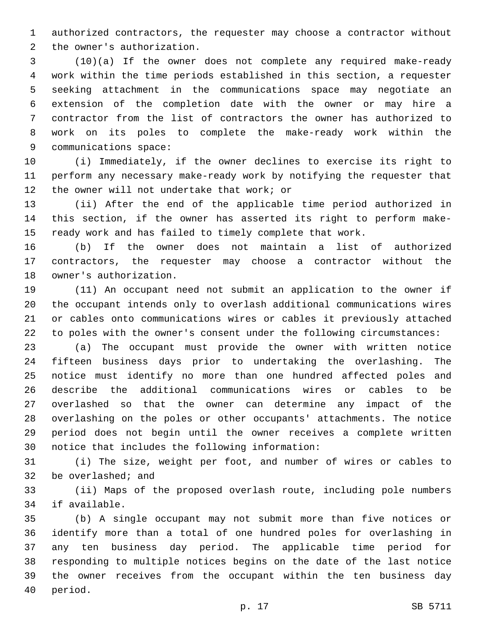authorized contractors, the requester may choose a contractor without 2 the owner's authorization.

 (10)(a) If the owner does not complete any required make-ready work within the time periods established in this section, a requester seeking attachment in the communications space may negotiate an extension of the completion date with the owner or may hire a contractor from the list of contractors the owner has authorized to work on its poles to complete the make-ready work within the 9 communications space:

 (i) Immediately, if the owner declines to exercise its right to perform any necessary make-ready work by notifying the requester that 12 the owner will not undertake that work; or

 (ii) After the end of the applicable time period authorized in this section, if the owner has asserted its right to perform make-ready work and has failed to timely complete that work.

 (b) If the owner does not maintain a list of authorized contractors, the requester may choose a contractor without the 18 owner's authorization.

 (11) An occupant need not submit an application to the owner if the occupant intends only to overlash additional communications wires or cables onto communications wires or cables it previously attached to poles with the owner's consent under the following circumstances:

 (a) The occupant must provide the owner with written notice fifteen business days prior to undertaking the overlashing. The notice must identify no more than one hundred affected poles and describe the additional communications wires or cables to be overlashed so that the owner can determine any impact of the overlashing on the poles or other occupants' attachments. The notice period does not begin until the owner receives a complete written 30 notice that includes the following information:

 (i) The size, weight per foot, and number of wires or cables to 32 be overlashed; and

 (ii) Maps of the proposed overlash route, including pole numbers 34 if available.

 (b) A single occupant may not submit more than five notices or identify more than a total of one hundred poles for overlashing in any ten business day period. The applicable time period for responding to multiple notices begins on the date of the last notice the owner receives from the occupant within the ten business day 40 period.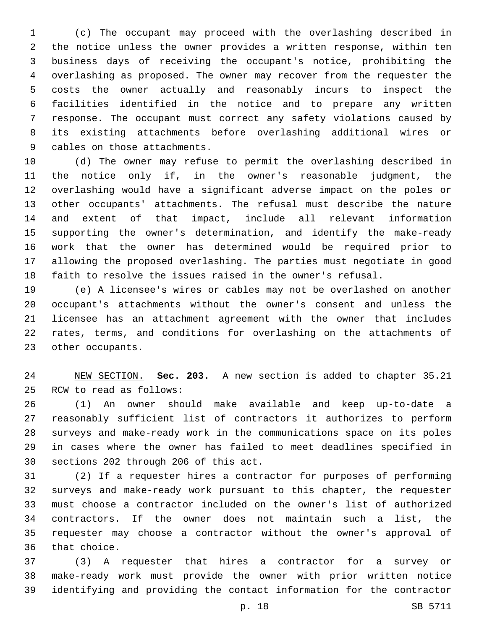(c) The occupant may proceed with the overlashing described in the notice unless the owner provides a written response, within ten business days of receiving the occupant's notice, prohibiting the overlashing as proposed. The owner may recover from the requester the costs the owner actually and reasonably incurs to inspect the facilities identified in the notice and to prepare any written response. The occupant must correct any safety violations caused by its existing attachments before overlashing additional wires or 9 cables on those attachments.

 (d) The owner may refuse to permit the overlashing described in the notice only if, in the owner's reasonable judgment, the overlashing would have a significant adverse impact on the poles or other occupants' attachments. The refusal must describe the nature and extent of that impact, include all relevant information supporting the owner's determination, and identify the make-ready work that the owner has determined would be required prior to allowing the proposed overlashing. The parties must negotiate in good faith to resolve the issues raised in the owner's refusal.

 (e) A licensee's wires or cables may not be overlashed on another occupant's attachments without the owner's consent and unless the licensee has an attachment agreement with the owner that includes rates, terms, and conditions for overlashing on the attachments of 23 other occupants.

 NEW SECTION. **Sec. 203.** A new section is added to chapter 35.21 25 RCW to read as follows:

 (1) An owner should make available and keep up-to-date a reasonably sufficient list of contractors it authorizes to perform surveys and make-ready work in the communications space on its poles in cases where the owner has failed to meet deadlines specified in 30 sections 202 through 206 of this act.

 (2) If a requester hires a contractor for purposes of performing surveys and make-ready work pursuant to this chapter, the requester must choose a contractor included on the owner's list of authorized contractors. If the owner does not maintain such a list, the requester may choose a contractor without the owner's approval of 36 that choice.

 (3) A requester that hires a contractor for a survey or make-ready work must provide the owner with prior written notice identifying and providing the contact information for the contractor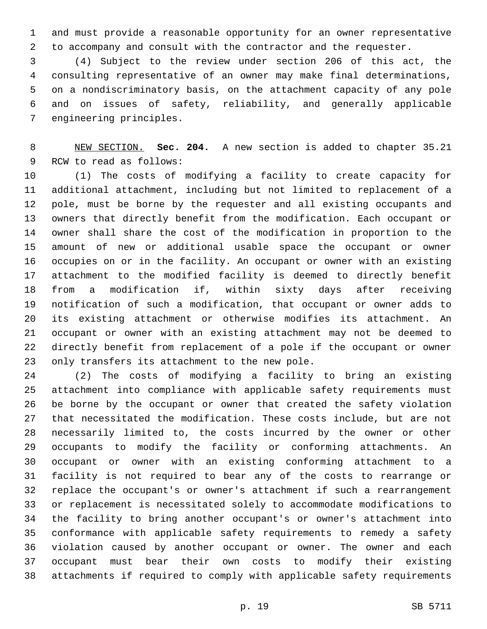and must provide a reasonable opportunity for an owner representative to accompany and consult with the contractor and the requester.

 (4) Subject to the review under section 206 of this act, the consulting representative of an owner may make final determinations, on a nondiscriminatory basis, on the attachment capacity of any pole and on issues of safety, reliability, and generally applicable 7 engineering principles.

 NEW SECTION. **Sec. 204.** A new section is added to chapter 35.21 9 RCW to read as follows:

 (1) The costs of modifying a facility to create capacity for additional attachment, including but not limited to replacement of a pole, must be borne by the requester and all existing occupants and owners that directly benefit from the modification. Each occupant or owner shall share the cost of the modification in proportion to the amount of new or additional usable space the occupant or owner occupies on or in the facility. An occupant or owner with an existing attachment to the modified facility is deemed to directly benefit from a modification if, within sixty days after receiving notification of such a modification, that occupant or owner adds to its existing attachment or otherwise modifies its attachment. An occupant or owner with an existing attachment may not be deemed to directly benefit from replacement of a pole if the occupant or owner 23 only transfers its attachment to the new pole.

 (2) The costs of modifying a facility to bring an existing attachment into compliance with applicable safety requirements must be borne by the occupant or owner that created the safety violation that necessitated the modification. These costs include, but are not necessarily limited to, the costs incurred by the owner or other occupants to modify the facility or conforming attachments. An occupant or owner with an existing conforming attachment to a facility is not required to bear any of the costs to rearrange or replace the occupant's or owner's attachment if such a rearrangement or replacement is necessitated solely to accommodate modifications to the facility to bring another occupant's or owner's attachment into conformance with applicable safety requirements to remedy a safety violation caused by another occupant or owner. The owner and each occupant must bear their own costs to modify their existing attachments if required to comply with applicable safety requirements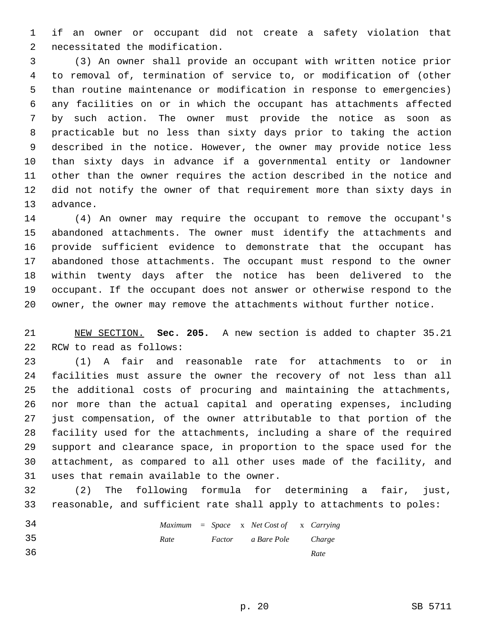if an owner or occupant did not create a safety violation that 2 necessitated the modification.

 (3) An owner shall provide an occupant with written notice prior to removal of, termination of service to, or modification of (other than routine maintenance or modification in response to emergencies) any facilities on or in which the occupant has attachments affected by such action. The owner must provide the notice as soon as practicable but no less than sixty days prior to taking the action described in the notice. However, the owner may provide notice less than sixty days in advance if a governmental entity or landowner other than the owner requires the action described in the notice and did not notify the owner of that requirement more than sixty days in 13 advance.

 (4) An owner may require the occupant to remove the occupant's abandoned attachments. The owner must identify the attachments and provide sufficient evidence to demonstrate that the occupant has abandoned those attachments. The occupant must respond to the owner within twenty days after the notice has been delivered to the occupant. If the occupant does not answer or otherwise respond to the owner, the owner may remove the attachments without further notice.

 NEW SECTION. **Sec. 205.** A new section is added to chapter 35.21 22 RCW to read as follows:

 (1) A fair and reasonable rate for attachments to or in facilities must assure the owner the recovery of not less than all the additional costs of procuring and maintaining the attachments, nor more than the actual capital and operating expenses, including just compensation, of the owner attributable to that portion of the facility used for the attachments, including a share of the required support and clearance space, in proportion to the space used for the attachment, as compared to all other uses made of the facility, and 31 uses that remain available to the owner.

 (2) The following formula for determining a fair, just, reasonable, and sufficient rate shall apply to attachments to poles:

| 34  |      |  | $Maximum = Space \times Net Cost of \times Carrying$ |      |
|-----|------|--|------------------------------------------------------|------|
| -35 | Rate |  | Factor a Bare Pole Charge                            |      |
| 36  |      |  |                                                      | Rate |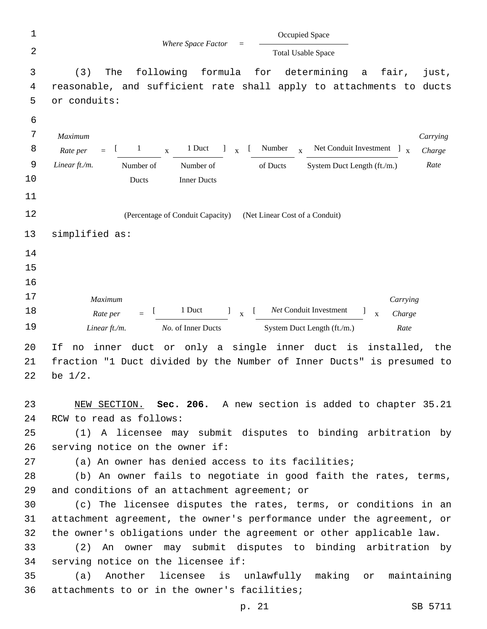| $\mathbf 1$    | Occupied Space                                                                                                            |
|----------------|---------------------------------------------------------------------------------------------------------------------------|
| $\overline{2}$ | Where Space Factor<br><b>Total Usable Space</b>                                                                           |
| 3              | following formula for determining a fair,<br>The<br>(3)<br>just,                                                          |
| 4              | reasonable, and sufficient rate shall apply to attachments to ducts                                                       |
| 5              | or conduits:                                                                                                              |
| 6              |                                                                                                                           |
| $\sqrt{ }$     | Maximum<br>Carrying                                                                                                       |
| 8              | $X$ 1 Duct 1 $X$ [ Number $X$ Net Conduit Investment 1 $X$<br>$\begin{bmatrix} 1 & 1 \end{bmatrix}$<br>Rate per<br>Charge |
| $\mathsf 9$    | Linear ft./m.<br>Rate<br>Number of<br>of Ducts<br>System Duct Length (ft./m.)<br>Number of                                |
| 10             | <b>Inner Ducts</b><br>Ducts                                                                                               |
| 11             |                                                                                                                           |
| 12             | (Percentage of Conduit Capacity) (Net Linear Cost of a Conduit)                                                           |
| 13             | simplified as:                                                                                                            |
| 14             |                                                                                                                           |
| 15             |                                                                                                                           |
| 16             |                                                                                                                           |
| 17             | Maximum<br>Carrying                                                                                                       |
| 18             | 1 Duct 1 x [ Net Conduit Investment<br>$\blacksquare$<br>$\mathbf{x}$<br>Rate per<br>Charge<br>$=$                        |
| 19             | No. of Inner Ducts<br>System Duct Length (ft./m.)<br>Linear ft./m.<br>Rate                                                |
| 20             | If<br>duct or only a single inner duct is installed,<br>inner<br>no<br>the                                                |
| 21             | fraction "1 Duct divided by the Number of Inner Ducts" is presumed to                                                     |
| 22             | be $1/2$ .                                                                                                                |
| 23             | NEW SECTION. Sec. 206. A new section is added to chapter 35.21                                                            |
| 24             | RCW to read as follows:                                                                                                   |
| 25             | (1) A licensee may submit disputes to binding arbitration by                                                              |
| 26             | serving notice on the owner if:                                                                                           |
| 27             | (a) An owner has denied access to its facilities;                                                                         |
| 28             | (b) An owner fails to negotiate in good faith the rates, terms,                                                           |
| 29             | and conditions of an attachment agreement; or                                                                             |
| 30             | (c) The licensee disputes the rates, terms, or conditions in an                                                           |
| 31             | attachment agreement, the owner's performance under the agreement, or                                                     |
| 32             | the owner's obligations under the agreement or other applicable law.                                                      |
| 33             | (2) An owner may submit disputes to binding arbitration by                                                                |
| 34             | serving notice on the licensee if:                                                                                        |
| 35             | Another licensee is unlawfully making or<br>maintaining<br>(a)                                                            |
| 36             | attachments to or in the owner's facilities;                                                                              |
|                | SB 5711<br>p. 21                                                                                                          |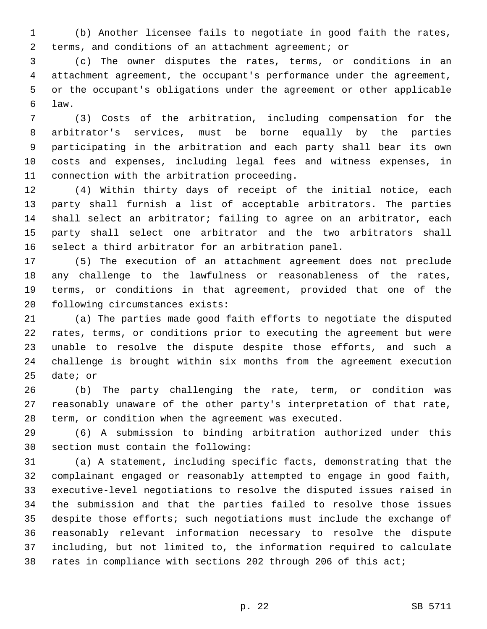(b) Another licensee fails to negotiate in good faith the rates, terms, and conditions of an attachment agreement; or

 (c) The owner disputes the rates, terms, or conditions in an attachment agreement, the occupant's performance under the agreement, or the occupant's obligations under the agreement or other applicable law.6

 (3) Costs of the arbitration, including compensation for the arbitrator's services, must be borne equally by the parties participating in the arbitration and each party shall bear its own costs and expenses, including legal fees and witness expenses, in 11 connection with the arbitration proceeding.

 (4) Within thirty days of receipt of the initial notice, each party shall furnish a list of acceptable arbitrators. The parties shall select an arbitrator; failing to agree on an arbitrator, each party shall select one arbitrator and the two arbitrators shall select a third arbitrator for an arbitration panel.

 (5) The execution of an attachment agreement does not preclude any challenge to the lawfulness or reasonableness of the rates, terms, or conditions in that agreement, provided that one of the 20 following circumstances exists:

 (a) The parties made good faith efforts to negotiate the disputed rates, terms, or conditions prior to executing the agreement but were unable to resolve the dispute despite those efforts, and such a challenge is brought within six months from the agreement execution 25 date; or

 (b) The party challenging the rate, term, or condition was reasonably unaware of the other party's interpretation of that rate, term, or condition when the agreement was executed.

 (6) A submission to binding arbitration authorized under this 30 section must contain the following:

 (a) A statement, including specific facts, demonstrating that the complainant engaged or reasonably attempted to engage in good faith, executive-level negotiations to resolve the disputed issues raised in the submission and that the parties failed to resolve those issues despite those efforts; such negotiations must include the exchange of reasonably relevant information necessary to resolve the dispute including, but not limited to, the information required to calculate rates in compliance with sections 202 through 206 of this act;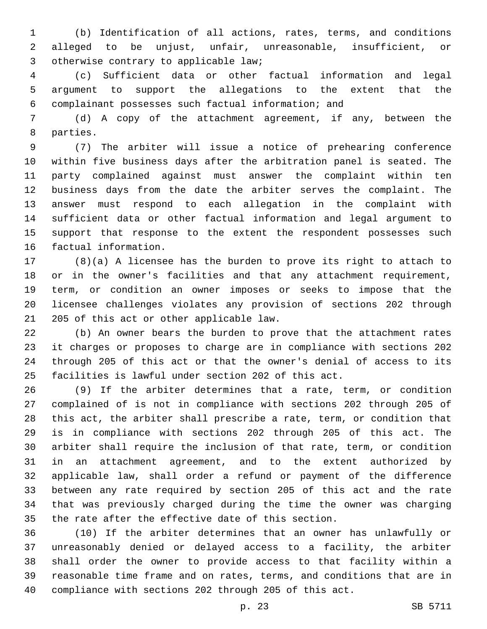(b) Identification of all actions, rates, terms, and conditions alleged to be unjust, unfair, unreasonable, insufficient, or 3 otherwise contrary to applicable law;

 (c) Sufficient data or other factual information and legal argument to support the allegations to the extent that the complainant possesses such factual information; and

 (d) A copy of the attachment agreement, if any, between the 8 parties.

 (7) The arbiter will issue a notice of prehearing conference within five business days after the arbitration panel is seated. The party complained against must answer the complaint within ten business days from the date the arbiter serves the complaint. The answer must respond to each allegation in the complaint with sufficient data or other factual information and legal argument to 15 support that response to the extent the respondent possesses such 16 factual information.

 (8)(a) A licensee has the burden to prove its right to attach to or in the owner's facilities and that any attachment requirement, term, or condition an owner imposes or seeks to impose that the licensee challenges violates any provision of sections 202 through 21 205 of this act or other applicable law.

 (b) An owner bears the burden to prove that the attachment rates it charges or proposes to charge are in compliance with sections 202 through 205 of this act or that the owner's denial of access to its facilities is lawful under section 202 of this act.

 (9) If the arbiter determines that a rate, term, or condition complained of is not in compliance with sections 202 through 205 of this act, the arbiter shall prescribe a rate, term, or condition that is in compliance with sections 202 through 205 of this act. The arbiter shall require the inclusion of that rate, term, or condition in an attachment agreement, and to the extent authorized by applicable law, shall order a refund or payment of the difference between any rate required by section 205 of this act and the rate that was previously charged during the time the owner was charging the rate after the effective date of this section.

 (10) If the arbiter determines that an owner has unlawfully or unreasonably denied or delayed access to a facility, the arbiter shall order the owner to provide access to that facility within a reasonable time frame and on rates, terms, and conditions that are in compliance with sections 202 through 205 of this act.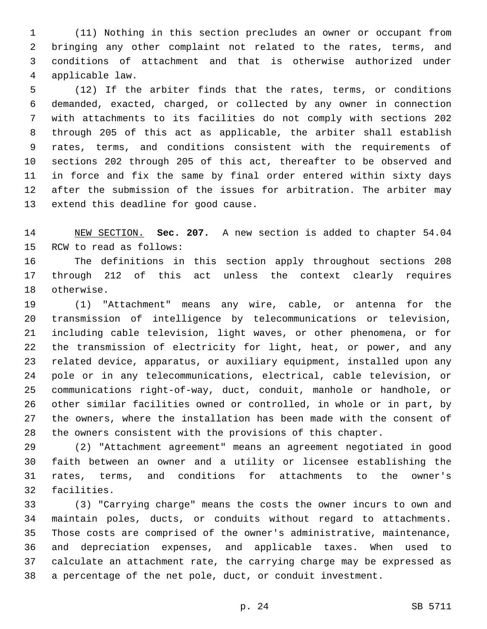(11) Nothing in this section precludes an owner or occupant from bringing any other complaint not related to the rates, terms, and conditions of attachment and that is otherwise authorized under applicable law.4

 (12) If the arbiter finds that the rates, terms, or conditions demanded, exacted, charged, or collected by any owner in connection with attachments to its facilities do not comply with sections 202 through 205 of this act as applicable, the arbiter shall establish rates, terms, and conditions consistent with the requirements of sections 202 through 205 of this act, thereafter to be observed and in force and fix the same by final order entered within sixty days after the submission of the issues for arbitration. The arbiter may 13 extend this deadline for good cause.

 NEW SECTION. **Sec. 207.** A new section is added to chapter 54.04 15 RCW to read as follows:

 The definitions in this section apply throughout sections 208 through 212 of this act unless the context clearly requires 18 otherwise.

 (1) "Attachment" means any wire, cable, or antenna for the transmission of intelligence by telecommunications or television, including cable television, light waves, or other phenomena, or for the transmission of electricity for light, heat, or power, and any related device, apparatus, or auxiliary equipment, installed upon any pole or in any telecommunications, electrical, cable television, or communications right-of-way, duct, conduit, manhole or handhole, or other similar facilities owned or controlled, in whole or in part, by the owners, where the installation has been made with the consent of the owners consistent with the provisions of this chapter.

 (2) "Attachment agreement" means an agreement negotiated in good faith between an owner and a utility or licensee establishing the rates, terms, and conditions for attachments to the owner's 32 facilities.

 (3) "Carrying charge" means the costs the owner incurs to own and maintain poles, ducts, or conduits without regard to attachments. Those costs are comprised of the owner's administrative, maintenance, and depreciation expenses, and applicable taxes. When used to calculate an attachment rate, the carrying charge may be expressed as a percentage of the net pole, duct, or conduit investment.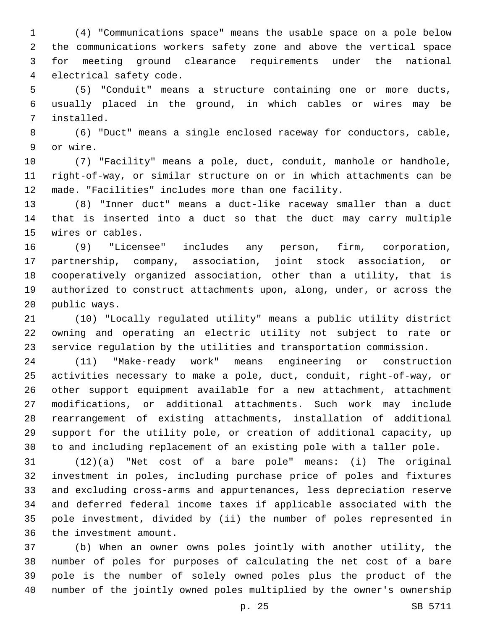(4) "Communications space" means the usable space on a pole below the communications workers safety zone and above the vertical space for meeting ground clearance requirements under the national 4 electrical safety code.

 (5) "Conduit" means a structure containing one or more ducts, usually placed in the ground, in which cables or wires may be installed.7

 (6) "Duct" means a single enclosed raceway for conductors, cable, 9 or wire.

 (7) "Facility" means a pole, duct, conduit, manhole or handhole, right-of-way, or similar structure on or in which attachments can be made. "Facilities" includes more than one facility.

 (8) "Inner duct" means a duct-like raceway smaller than a duct that is inserted into a duct so that the duct may carry multiple 15 wires or cables.

 (9) "Licensee" includes any person, firm, corporation, partnership, company, association, joint stock association, or cooperatively organized association, other than a utility, that is authorized to construct attachments upon, along, under, or across the 20 public ways.

 (10) "Locally regulated utility" means a public utility district owning and operating an electric utility not subject to rate or service regulation by the utilities and transportation commission.

 (11) "Make-ready work" means engineering or construction activities necessary to make a pole, duct, conduit, right-of-way, or other support equipment available for a new attachment, attachment modifications, or additional attachments. Such work may include rearrangement of existing attachments, installation of additional support for the utility pole, or creation of additional capacity, up to and including replacement of an existing pole with a taller pole.

 (12)(a) "Net cost of a bare pole" means: (i) The original investment in poles, including purchase price of poles and fixtures and excluding cross-arms and appurtenances, less depreciation reserve and deferred federal income taxes if applicable associated with the pole investment, divided by (ii) the number of poles represented in 36 the investment amount.

 (b) When an owner owns poles jointly with another utility, the number of poles for purposes of calculating the net cost of a bare pole is the number of solely owned poles plus the product of the number of the jointly owned poles multiplied by the owner's ownership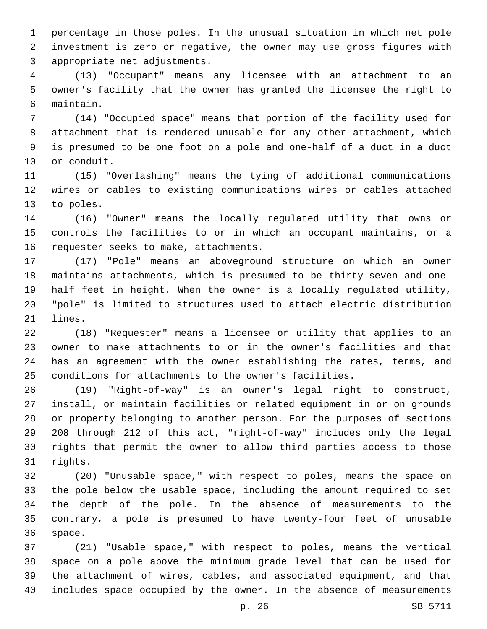percentage in those poles. In the unusual situation in which net pole investment is zero or negative, the owner may use gross figures with 3 appropriate net adjustments.

 (13) "Occupant" means any licensee with an attachment to an owner's facility that the owner has granted the licensee the right to maintain.6

 (14) "Occupied space" means that portion of the facility used for attachment that is rendered unusable for any other attachment, which is presumed to be one foot on a pole and one-half of a duct in a duct 10 or conduit.

 (15) "Overlashing" means the tying of additional communications wires or cables to existing communications wires or cables attached 13 to poles.

 (16) "Owner" means the locally regulated utility that owns or controls the facilities to or in which an occupant maintains, or a 16 requester seeks to make, attachments.

 (17) "Pole" means an aboveground structure on which an owner maintains attachments, which is presumed to be thirty-seven and one- half feet in height. When the owner is a locally regulated utility, "pole" is limited to structures used to attach electric distribution 21 lines.

 (18) "Requester" means a licensee or utility that applies to an owner to make attachments to or in the owner's facilities and that has an agreement with the owner establishing the rates, terms, and conditions for attachments to the owner's facilities.

 (19) "Right-of-way" is an owner's legal right to construct, install, or maintain facilities or related equipment in or on grounds or property belonging to another person. For the purposes of sections 208 through 212 of this act, "right-of-way" includes only the legal rights that permit the owner to allow third parties access to those 31 rights.

 (20) "Unusable space," with respect to poles, means the space on the pole below the usable space, including the amount required to set the depth of the pole. In the absence of measurements to the contrary, a pole is presumed to have twenty-four feet of unusable 36 space.

 (21) "Usable space," with respect to poles, means the vertical space on a pole above the minimum grade level that can be used for the attachment of wires, cables, and associated equipment, and that includes space occupied by the owner. In the absence of measurements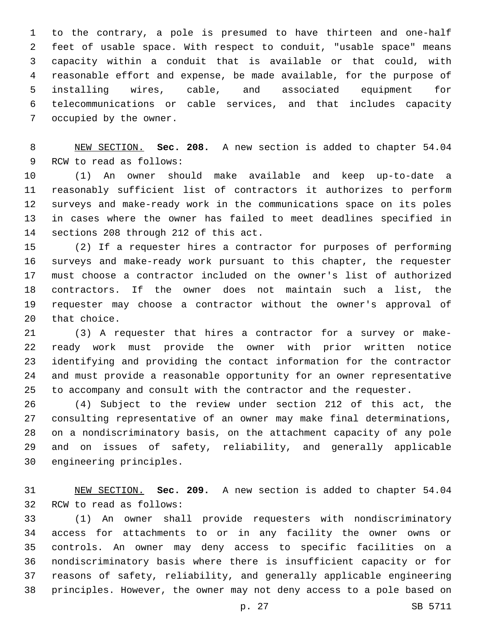to the contrary, a pole is presumed to have thirteen and one-half feet of usable space. With respect to conduit, "usable space" means capacity within a conduit that is available or that could, with reasonable effort and expense, be made available, for the purpose of installing wires, cable, and associated equipment for telecommunications or cable services, and that includes capacity 7 occupied by the owner.

 NEW SECTION. **Sec. 208.** A new section is added to chapter 54.04 9 RCW to read as follows:

 (1) An owner should make available and keep up-to-date a reasonably sufficient list of contractors it authorizes to perform surveys and make-ready work in the communications space on its poles in cases where the owner has failed to meet deadlines specified in 14 sections 208 through 212 of this act.

 (2) If a requester hires a contractor for purposes of performing surveys and make-ready work pursuant to this chapter, the requester must choose a contractor included on the owner's list of authorized contractors. If the owner does not maintain such a list, the requester may choose a contractor without the owner's approval of 20 that choice.

 (3) A requester that hires a contractor for a survey or make- ready work must provide the owner with prior written notice identifying and providing the contact information for the contractor and must provide a reasonable opportunity for an owner representative to accompany and consult with the contractor and the requester.

 (4) Subject to the review under section 212 of this act, the consulting representative of an owner may make final determinations, on a nondiscriminatory basis, on the attachment capacity of any pole and on issues of safety, reliability, and generally applicable 30 engineering principles.

 NEW SECTION. **Sec. 209.** A new section is added to chapter 54.04 32 RCW to read as follows:

 (1) An owner shall provide requesters with nondiscriminatory access for attachments to or in any facility the owner owns or controls. An owner may deny access to specific facilities on a nondiscriminatory basis where there is insufficient capacity or for reasons of safety, reliability, and generally applicable engineering principles. However, the owner may not deny access to a pole based on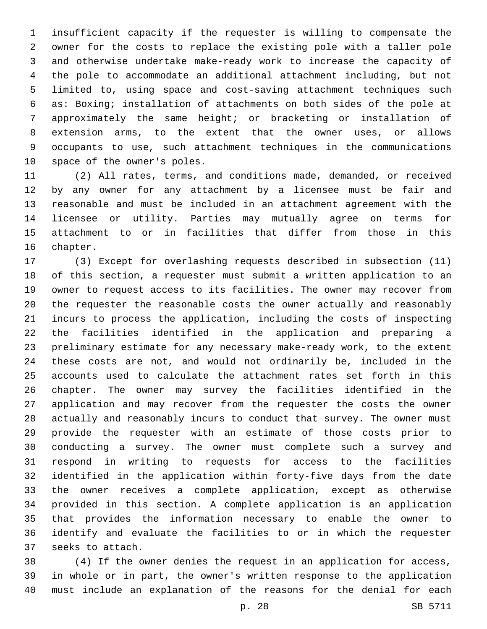insufficient capacity if the requester is willing to compensate the owner for the costs to replace the existing pole with a taller pole and otherwise undertake make-ready work to increase the capacity of the pole to accommodate an additional attachment including, but not limited to, using space and cost-saving attachment techniques such as: Boxing; installation of attachments on both sides of the pole at approximately the same height; or bracketing or installation of extension arms, to the extent that the owner uses, or allows occupants to use, such attachment techniques in the communications 10 space of the owner's poles.

 (2) All rates, terms, and conditions made, demanded, or received by any owner for any attachment by a licensee must be fair and reasonable and must be included in an attachment agreement with the licensee or utility. Parties may mutually agree on terms for attachment to or in facilities that differ from those in this 16 chapter.

 (3) Except for overlashing requests described in subsection (11) of this section, a requester must submit a written application to an owner to request access to its facilities. The owner may recover from the requester the reasonable costs the owner actually and reasonably incurs to process the application, including the costs of inspecting the facilities identified in the application and preparing a preliminary estimate for any necessary make-ready work, to the extent these costs are not, and would not ordinarily be, included in the accounts used to calculate the attachment rates set forth in this chapter. The owner may survey the facilities identified in the application and may recover from the requester the costs the owner actually and reasonably incurs to conduct that survey. The owner must provide the requester with an estimate of those costs prior to conducting a survey. The owner must complete such a survey and respond in writing to requests for access to the facilities identified in the application within forty-five days from the date the owner receives a complete application, except as otherwise provided in this section. A complete application is an application that provides the information necessary to enable the owner to identify and evaluate the facilities to or in which the requester 37 seeks to attach.

 (4) If the owner denies the request in an application for access, in whole or in part, the owner's written response to the application must include an explanation of the reasons for the denial for each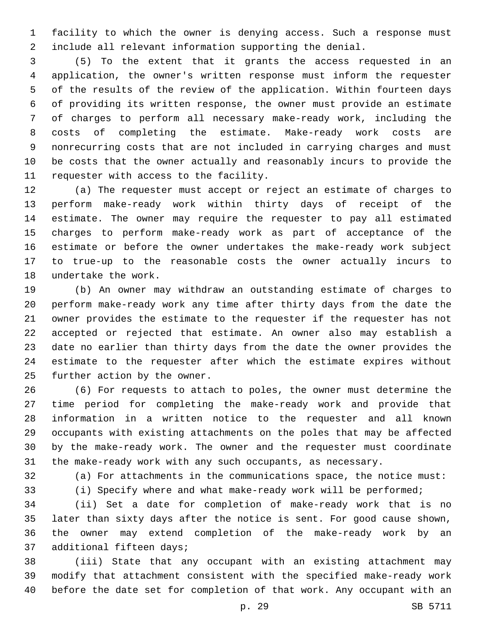facility to which the owner is denying access. Such a response must include all relevant information supporting the denial.

 (5) To the extent that it grants the access requested in an application, the owner's written response must inform the requester of the results of the review of the application. Within fourteen days of providing its written response, the owner must provide an estimate of charges to perform all necessary make-ready work, including the costs of completing the estimate. Make-ready work costs are nonrecurring costs that are not included in carrying charges and must be costs that the owner actually and reasonably incurs to provide the 11 requester with access to the facility.

 (a) The requester must accept or reject an estimate of charges to perform make-ready work within thirty days of receipt of the estimate. The owner may require the requester to pay all estimated charges to perform make-ready work as part of acceptance of the estimate or before the owner undertakes the make-ready work subject to true-up to the reasonable costs the owner actually incurs to 18 undertake the work.

 (b) An owner may withdraw an outstanding estimate of charges to perform make-ready work any time after thirty days from the date the owner provides the estimate to the requester if the requester has not accepted or rejected that estimate. An owner also may establish a date no earlier than thirty days from the date the owner provides the estimate to the requester after which the estimate expires without 25 further action by the owner.

 (6) For requests to attach to poles, the owner must determine the time period for completing the make-ready work and provide that information in a written notice to the requester and all known occupants with existing attachments on the poles that may be affected by the make-ready work. The owner and the requester must coordinate the make-ready work with any such occupants, as necessary.

(a) For attachments in the communications space, the notice must:

(i) Specify where and what make-ready work will be performed;

 (ii) Set a date for completion of make-ready work that is no later than sixty days after the notice is sent. For good cause shown, the owner may extend completion of the make-ready work by an 37 additional fifteen days;

 (iii) State that any occupant with an existing attachment may modify that attachment consistent with the specified make-ready work before the date set for completion of that work. Any occupant with an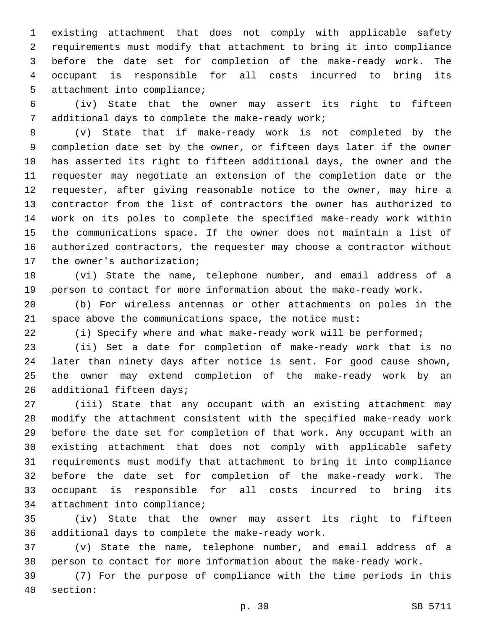existing attachment that does not comply with applicable safety requirements must modify that attachment to bring it into compliance before the date set for completion of the make-ready work. The occupant is responsible for all costs incurred to bring its 5 attachment into compliance;

 (iv) State that the owner may assert its right to fifteen 7 additional days to complete the make-ready work;

 (v) State that if make-ready work is not completed by the completion date set by the owner, or fifteen days later if the owner has asserted its right to fifteen additional days, the owner and the requester may negotiate an extension of the completion date or the requester, after giving reasonable notice to the owner, may hire a contractor from the list of contractors the owner has authorized to work on its poles to complete the specified make-ready work within the communications space. If the owner does not maintain a list of authorized contractors, the requester may choose a contractor without 17 the owner's authorization;

 (vi) State the name, telephone number, and email address of a person to contact for more information about the make-ready work.

 (b) For wireless antennas or other attachments on poles in the space above the communications space, the notice must:

(i) Specify where and what make-ready work will be performed;

 (ii) Set a date for completion of make-ready work that is no later than ninety days after notice is sent. For good cause shown, the owner may extend completion of the make-ready work by an 26 additional fifteen days;

 (iii) State that any occupant with an existing attachment may modify the attachment consistent with the specified make-ready work before the date set for completion of that work. Any occupant with an existing attachment that does not comply with applicable safety requirements must modify that attachment to bring it into compliance before the date set for completion of the make-ready work. The occupant is responsible for all costs incurred to bring its 34 attachment into compliance;

 (iv) State that the owner may assert its right to fifteen 36 additional days to complete the make-ready work.

 (v) State the name, telephone number, and email address of a person to contact for more information about the make-ready work.

 (7) For the purpose of compliance with the time periods in this 40 section: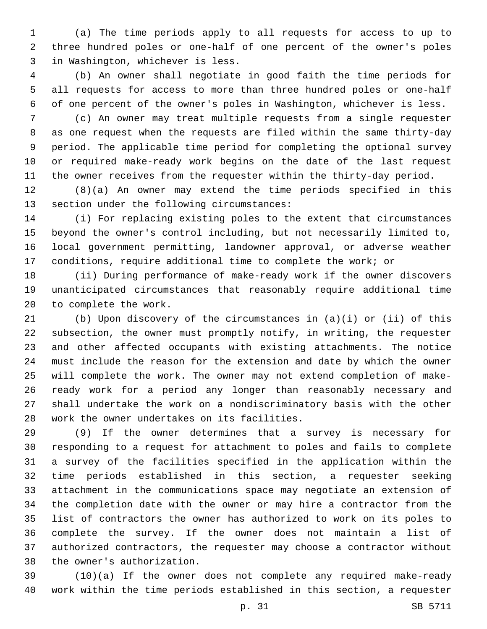(a) The time periods apply to all requests for access to up to three hundred poles or one-half of one percent of the owner's poles 3 in Washington, whichever is less.

 (b) An owner shall negotiate in good faith the time periods for all requests for access to more than three hundred poles or one-half of one percent of the owner's poles in Washington, whichever is less.

 (c) An owner may treat multiple requests from a single requester as one request when the requests are filed within the same thirty-day period. The applicable time period for completing the optional survey or required make-ready work begins on the date of the last request the owner receives from the requester within the thirty-day period.

 (8)(a) An owner may extend the time periods specified in this 13 section under the following circumstances:

 (i) For replacing existing poles to the extent that circumstances beyond the owner's control including, but not necessarily limited to, local government permitting, landowner approval, or adverse weather conditions, require additional time to complete the work; or

 (ii) During performance of make-ready work if the owner discovers unanticipated circumstances that reasonably require additional time 20 to complete the work.

 (b) Upon discovery of the circumstances in (a)(i) or (ii) of this subsection, the owner must promptly notify, in writing, the requester and other affected occupants with existing attachments. The notice must include the reason for the extension and date by which the owner will complete the work. The owner may not extend completion of make- ready work for a period any longer than reasonably necessary and shall undertake the work on a nondiscriminatory basis with the other 28 work the owner undertakes on its facilities.

 (9) If the owner determines that a survey is necessary for responding to a request for attachment to poles and fails to complete a survey of the facilities specified in the application within the time periods established in this section, a requester seeking attachment in the communications space may negotiate an extension of the completion date with the owner or may hire a contractor from the list of contractors the owner has authorized to work on its poles to complete the survey. If the owner does not maintain a list of authorized contractors, the requester may choose a contractor without 38 the owner's authorization.

 (10)(a) If the owner does not complete any required make-ready work within the time periods established in this section, a requester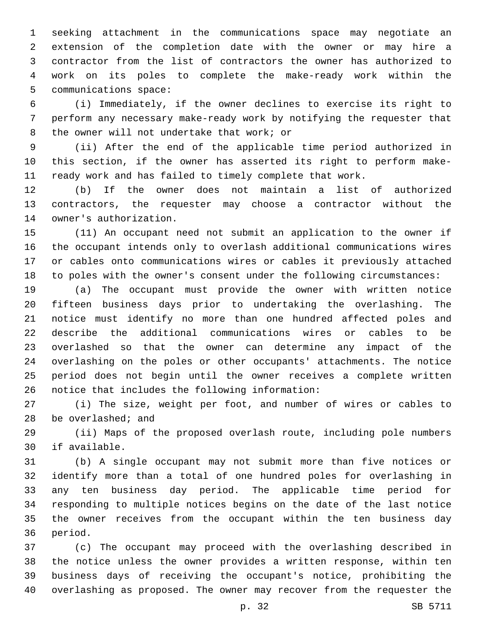seeking attachment in the communications space may negotiate an extension of the completion date with the owner or may hire a contractor from the list of contractors the owner has authorized to work on its poles to complete the make-ready work within the 5 communications space:

 (i) Immediately, if the owner declines to exercise its right to perform any necessary make-ready work by notifying the requester that 8 the owner will not undertake that work; or

 (ii) After the end of the applicable time period authorized in this section, if the owner has asserted its right to perform make-ready work and has failed to timely complete that work.

 (b) If the owner does not maintain a list of authorized contractors, the requester may choose a contractor without the 14 owner's authorization.

 (11) An occupant need not submit an application to the owner if the occupant intends only to overlash additional communications wires or cables onto communications wires or cables it previously attached to poles with the owner's consent under the following circumstances:

 (a) The occupant must provide the owner with written notice fifteen business days prior to undertaking the overlashing. The notice must identify no more than one hundred affected poles and describe the additional communications wires or cables to be overlashed so that the owner can determine any impact of the overlashing on the poles or other occupants' attachments. The notice period does not begin until the owner receives a complete written 26 notice that includes the following information:

 (i) The size, weight per foot, and number of wires or cables to be overlashed; and

 (ii) Maps of the proposed overlash route, including pole numbers 30 if available.

 (b) A single occupant may not submit more than five notices or identify more than a total of one hundred poles for overlashing in any ten business day period. The applicable time period for responding to multiple notices begins on the date of the last notice the owner receives from the occupant within the ten business day 36 period.

 (c) The occupant may proceed with the overlashing described in the notice unless the owner provides a written response, within ten business days of receiving the occupant's notice, prohibiting the overlashing as proposed. The owner may recover from the requester the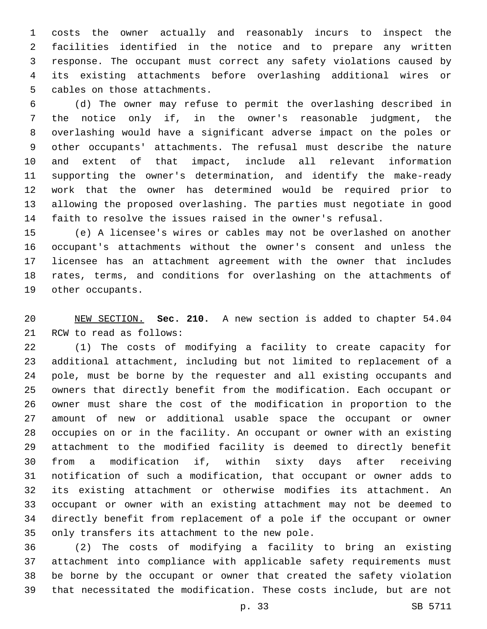costs the owner actually and reasonably incurs to inspect the facilities identified in the notice and to prepare any written response. The occupant must correct any safety violations caused by its existing attachments before overlashing additional wires or 5 cables on those attachments.

 (d) The owner may refuse to permit the overlashing described in the notice only if, in the owner's reasonable judgment, the overlashing would have a significant adverse impact on the poles or other occupants' attachments. The refusal must describe the nature and extent of that impact, include all relevant information supporting the owner's determination, and identify the make-ready work that the owner has determined would be required prior to allowing the proposed overlashing. The parties must negotiate in good faith to resolve the issues raised in the owner's refusal.

 (e) A licensee's wires or cables may not be overlashed on another occupant's attachments without the owner's consent and unless the licensee has an attachment agreement with the owner that includes rates, terms, and conditions for overlashing on the attachments of 19 other occupants.

 NEW SECTION. **Sec. 210.** A new section is added to chapter 54.04 21 RCW to read as follows:

 (1) The costs of modifying a facility to create capacity for additional attachment, including but not limited to replacement of a pole, must be borne by the requester and all existing occupants and owners that directly benefit from the modification. Each occupant or owner must share the cost of the modification in proportion to the amount of new or additional usable space the occupant or owner occupies on or in the facility. An occupant or owner with an existing attachment to the modified facility is deemed to directly benefit from a modification if, within sixty days after receiving notification of such a modification, that occupant or owner adds to its existing attachment or otherwise modifies its attachment. An occupant or owner with an existing attachment may not be deemed to directly benefit from replacement of a pole if the occupant or owner 35 only transfers its attachment to the new pole.

 (2) The costs of modifying a facility to bring an existing attachment into compliance with applicable safety requirements must be borne by the occupant or owner that created the safety violation that necessitated the modification. These costs include, but are not

p. 33 SB 5711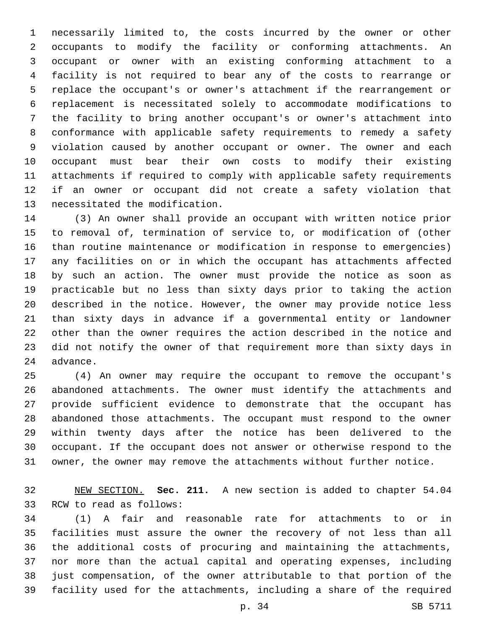necessarily limited to, the costs incurred by the owner or other occupants to modify the facility or conforming attachments. An occupant or owner with an existing conforming attachment to a facility is not required to bear any of the costs to rearrange or replace the occupant's or owner's attachment if the rearrangement or replacement is necessitated solely to accommodate modifications to the facility to bring another occupant's or owner's attachment into conformance with applicable safety requirements to remedy a safety violation caused by another occupant or owner. The owner and each occupant must bear their own costs to modify their existing attachments if required to comply with applicable safety requirements if an owner or occupant did not create a safety violation that 13 necessitated the modification.

 (3) An owner shall provide an occupant with written notice prior to removal of, termination of service to, or modification of (other than routine maintenance or modification in response to emergencies) any facilities on or in which the occupant has attachments affected by such an action. The owner must provide the notice as soon as practicable but no less than sixty days prior to taking the action described in the notice. However, the owner may provide notice less than sixty days in advance if a governmental entity or landowner other than the owner requires the action described in the notice and did not notify the owner of that requirement more than sixty days in 24 advance.

 (4) An owner may require the occupant to remove the occupant's abandoned attachments. The owner must identify the attachments and provide sufficient evidence to demonstrate that the occupant has abandoned those attachments. The occupant must respond to the owner within twenty days after the notice has been delivered to the occupant. If the occupant does not answer or otherwise respond to the owner, the owner may remove the attachments without further notice.

 NEW SECTION. **Sec. 211.** A new section is added to chapter 54.04 33 RCW to read as follows:

 (1) A fair and reasonable rate for attachments to or in facilities must assure the owner the recovery of not less than all the additional costs of procuring and maintaining the attachments, nor more than the actual capital and operating expenses, including just compensation, of the owner attributable to that portion of the facility used for the attachments, including a share of the required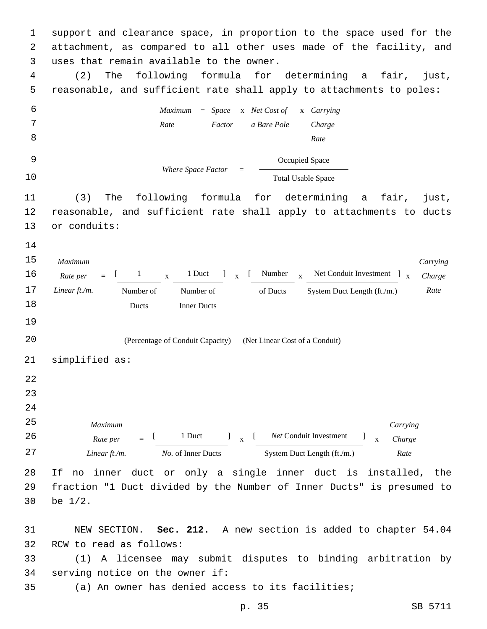1 support and clearance space, in proportion to the space used for the 2 attachment, as compared to all other uses made of the facility, and 3 uses that remain available to the owner. 4 (2) The following formula for determining a fair, just, 5 reasonable, and sufficient rate shall apply to attachments to poles: 6 7 8 *Maximum* = *Space* x *Net Cost of Rate Factor a Bare Pole* x *Carrying Charge Rate* 9 *Where Space Factor* = Occupied Space 10 Total Usable Space 11 (3) The following formula for determining a fair, just, 12 reasonable, and sufficient rate shall apply to attachments to ducts 13 or conduits: 14 15 16 *Maximum Rate per Linear ft./m.*  $=$  $\begin{bmatrix} 1 & x \end{bmatrix}$ 1 Duct  $\int_{\mathbf{x}}^{\mathbf{y}}$ [ Number <sub>x</sub> Net Conduit Investment ] <sub>x</sub> *Carrying Charge* 17 *Linear ft./m.* Number of Number of of Ducts System Duct Length (ft./m.) Rate 18 Number of Ducts Number of Inner Ducts 19 20 (Percentage of Conduit Capacity) (Net Linear Cost of a Conduit) 21 simplified as: 22 23 24 25 26 *Maximum Rate per Linear ft./m.*  $=$   $\frac{1}{2}$ 1 Duct  $l_{\rm x}$  [ *Net* Conduit Investment ] x *Carrying Charge* 27 *No.* of Inner Ducts System Duct Length (ft./m.) *Rate* 28 If no inner duct or only a single inner duct is installed, the 29 fraction "1 Duct divided by the Number of Inner Ducts" is presumed to 30 be  $1/2$ . 31 NEW SECTION. **Sec. 212.** A new section is added to chapter 54.04

32 RCW to read as follows:

33 (1) A licensee may submit disputes to binding arbitration by 34 serving notice on the owner if:

35 (a) An owner has denied access to its facilities;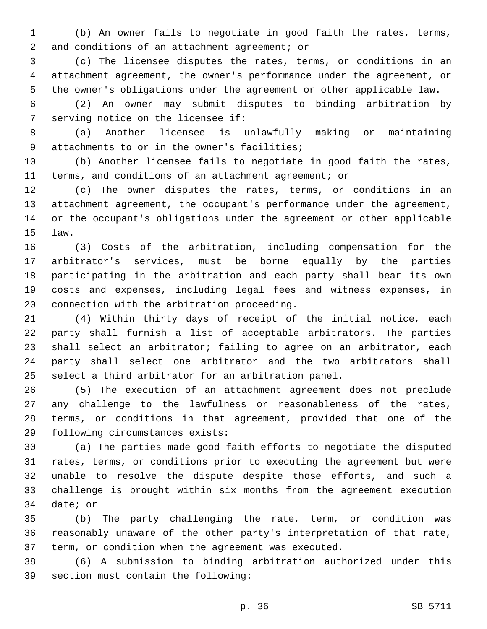(b) An owner fails to negotiate in good faith the rates, terms, 2 and conditions of an attachment agreement; or

 (c) The licensee disputes the rates, terms, or conditions in an attachment agreement, the owner's performance under the agreement, or the owner's obligations under the agreement or other applicable law.

 (2) An owner may submit disputes to binding arbitration by 7 serving notice on the licensee if:

 (a) Another licensee is unlawfully making or maintaining 9 attachments to or in the owner's facilities;

 (b) Another licensee fails to negotiate in good faith the rates, terms, and conditions of an attachment agreement; or

 (c) The owner disputes the rates, terms, or conditions in an attachment agreement, the occupant's performance under the agreement, or the occupant's obligations under the agreement or other applicable law.15

 (3) Costs of the arbitration, including compensation for the arbitrator's services, must be borne equally by the parties participating in the arbitration and each party shall bear its own costs and expenses, including legal fees and witness expenses, in 20 connection with the arbitration proceeding.

 (4) Within thirty days of receipt of the initial notice, each party shall furnish a list of acceptable arbitrators. The parties shall select an arbitrator; failing to agree on an arbitrator, each party shall select one arbitrator and the two arbitrators shall select a third arbitrator for an arbitration panel.

 (5) The execution of an attachment agreement does not preclude any challenge to the lawfulness or reasonableness of the rates, terms, or conditions in that agreement, provided that one of the 29 following circumstances exists:

 (a) The parties made good faith efforts to negotiate the disputed rates, terms, or conditions prior to executing the agreement but were unable to resolve the dispute despite those efforts, and such a challenge is brought within six months from the agreement execution 34 date; or

 (b) The party challenging the rate, term, or condition was reasonably unaware of the other party's interpretation of that rate, term, or condition when the agreement was executed.

 (6) A submission to binding arbitration authorized under this 39 section must contain the following: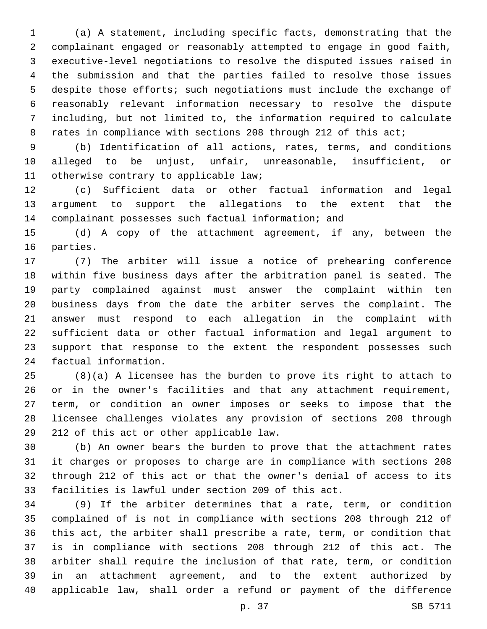(a) A statement, including specific facts, demonstrating that the complainant engaged or reasonably attempted to engage in good faith, executive-level negotiations to resolve the disputed issues raised in the submission and that the parties failed to resolve those issues despite those efforts; such negotiations must include the exchange of reasonably relevant information necessary to resolve the dispute including, but not limited to, the information required to calculate 8 rates in compliance with sections 208 through 212 of this act;

 (b) Identification of all actions, rates, terms, and conditions alleged to be unjust, unfair, unreasonable, insufficient, or 11 otherwise contrary to applicable law;

 (c) Sufficient data or other factual information and legal argument to support the allegations to the extent that the complainant possesses such factual information; and

 (d) A copy of the attachment agreement, if any, between the 16 parties.

 (7) The arbiter will issue a notice of prehearing conference within five business days after the arbitration panel is seated. The party complained against must answer the complaint within ten business days from the date the arbiter serves the complaint. The answer must respond to each allegation in the complaint with sufficient data or other factual information and legal argument to support that response to the extent the respondent possesses such 24 factual information.

 (8)(a) A licensee has the burden to prove its right to attach to or in the owner's facilities and that any attachment requirement, term, or condition an owner imposes or seeks to impose that the licensee challenges violates any provision of sections 208 through 29 212 of this act or other applicable law.

 (b) An owner bears the burden to prove that the attachment rates it charges or proposes to charge are in compliance with sections 208 through 212 of this act or that the owner's denial of access to its facilities is lawful under section 209 of this act.

 (9) If the arbiter determines that a rate, term, or condition complained of is not in compliance with sections 208 through 212 of this act, the arbiter shall prescribe a rate, term, or condition that is in compliance with sections 208 through 212 of this act. The arbiter shall require the inclusion of that rate, term, or condition in an attachment agreement, and to the extent authorized by applicable law, shall order a refund or payment of the difference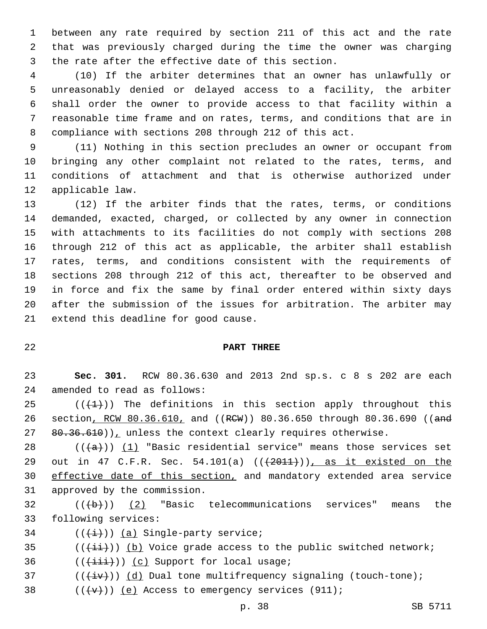between any rate required by section 211 of this act and the rate that was previously charged during the time the owner was charging 3 the rate after the effective date of this section.

 (10) If the arbiter determines that an owner has unlawfully or unreasonably denied or delayed access to a facility, the arbiter shall order the owner to provide access to that facility within a reasonable time frame and on rates, terms, and conditions that are in compliance with sections 208 through 212 of this act.

 (11) Nothing in this section precludes an owner or occupant from bringing any other complaint not related to the rates, terms, and conditions of attachment and that is otherwise authorized under 12 applicable law.

 (12) If the arbiter finds that the rates, terms, or conditions demanded, exacted, charged, or collected by any owner in connection with attachments to its facilities do not comply with sections 208 through 212 of this act as applicable, the arbiter shall establish rates, terms, and conditions consistent with the requirements of sections 208 through 212 of this act, thereafter to be observed and in force and fix the same by final order entered within sixty days after the submission of the issues for arbitration. The arbiter may 21 extend this deadline for good cause.

## **PART THREE**

 **Sec. 301.** RCW 80.36.630 and 2013 2nd sp.s. c 8 s 202 are each 24 amended to read as follows:

25  $((+1))$  The definitions in this section apply throughout this 26 section, RCW 80.36.610, and ((RCW)) 80.36.650 through 80.36.690 ((and  $80.36.610)$ , unless the context clearly requires otherwise.

28  $((+a))$   $(1)$  "Basic residential service" means those services set 29 out in 47 C.F.R. Sec. 54.101(a) (( $\left(\frac{2011}{1}\right)$ ), as it existed on the effective date of this section, and mandatory extended area service 31 approved by the commission.

 (( $\overline{+}$ )) (2) "Basic telecommunications services" means the 33 following services:

34  $((\overleftrightarrow{t}))$  (a) Single-party service;

(( $(i+i)$ )) (b) Voice grade access to the public switched network;

36  $((\overrightarrow{\text{iii}}))$  (c) Support for local usage;

37  $((\overleftrightarrow{iv}))$   $(d)$  Dual tone multifrequency signaling (touch-tone);

38  $((+v+))$  (e) Access to emergency services (911);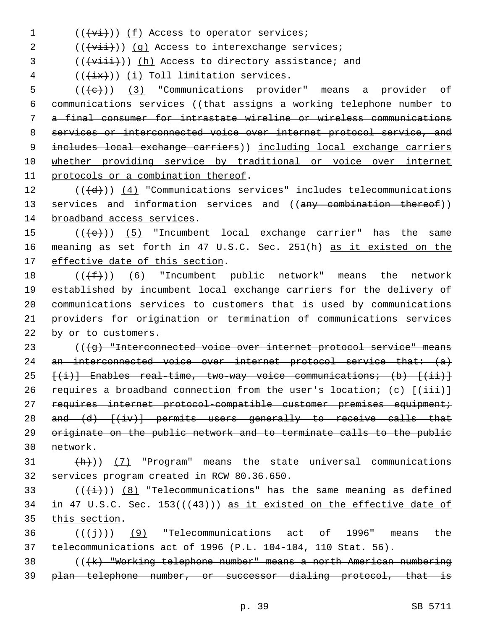$1$   $((\overrightarrow{vi}))$   $(f)$  Access to operator services;

 $2$  (( $\overrightarrow{vii})$ ) (g) Access to interexchange services;

3 (((viii))) (h) Access to directory assistance; and

 $($   $($   $($   $\frac{1}{4}x$  $))$   $($   $\frac{1}{4}$  Toll limitation services.

 (( $\left(\frac{1}{e}\right)$ ) (3) "Communications provider" means a provider of communications services ((that assigns a working telephone number to a final consumer for intrastate wireline or wireless communications services or interconnected voice over internet protocol service, and 9 includes local exchange carriers)) including local exchange carriers whether providing service by traditional or voice over internet 11 protocols or a combination thereof.

 $12$  (( $\left(\frac{d}{d}\right)$ ) (4) "Communications services" includes telecommunications 13 services and information services and ((any combination thereof)) 14 broadband access services.

15  $((+e))$   $(5)$  "Incumbent local exchange carrier" has the same 16 meaning as set forth in 47 U.S.C. Sec. 251(h) as it existed on the 17 effective date of this section.

 $((\text{+f-}))(6)$  "Incumbent public network" means the network established by incumbent local exchange carriers for the delivery of communications services to customers that is used by communications providers for origination or termination of communications services 22 by or to customers.

23 (((4g) "Interconnected voice over internet protocol service" means 24 an interconnected voice over internet protocol service that:  $\{a\}$ 25  $\{(\textbf{i})\}$  Enables real-time, two-way voice communications; (b)  $\{(\textbf{ii})\}$ 26 requires a broadband connection from the user's location; (c)  $[(iii)]$ 27 requires internet protocol-compatible customer premises equipment; 28 and (d) [(iv)] permits users generally to receive calls that 29 originate on the public network and to terminate calls to the public 30 network.

 $31$   $(\frac{h}{h})$ ) (7) "Program" means the state universal communications 32 services program created in RCW 80.36.650.

33 ( $(\frac{1}{i})$ ) (8) "Telecommunications" has the same meaning as defined 34 in 47 U.S.C. Sec.  $153((43+))$  as it existed on the effective date of 35 this section.

36  $((\{\dagger\})$  (9) "Telecommunications act of 1996" means the 37 telecommunications act of 1996 (P.L. 104-104, 110 Stat. 56).

38 (((k) "Working telephone number" means a north American numbering 39 plan telephone number, or successor dialing protocol, that is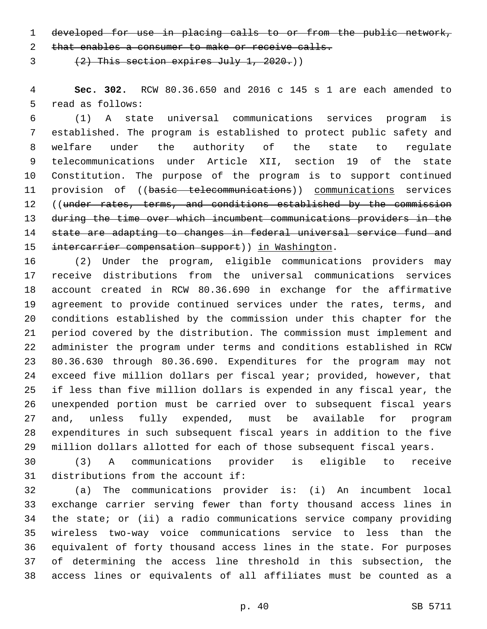developed for use in placing calls to or from the public network,

2 that enables a consumer to make or receive calls.

 $(2)$  This section expires July 1, 2020.)

 **Sec. 302.** RCW 80.36.650 and 2016 c 145 s 1 are each amended to 5 read as follows:

 (1) A state universal communications services program is established. The program is established to protect public safety and welfare under the authority of the state to regulate telecommunications under Article XII, section 19 of the state Constitution. The purpose of the program is to support continued 11 provision of ((basic telecommunications)) communications services 12 ((under rates, terms, and conditions established by the commission during the time over which incumbent communications providers in the state are adapting to changes in federal universal service fund and 15 intercarrier compensation support)) in Washington.

 (2) Under the program, eligible communications providers may receive distributions from the universal communications services account created in RCW 80.36.690 in exchange for the affirmative agreement to provide continued services under the rates, terms, and conditions established by the commission under this chapter for the period covered by the distribution. The commission must implement and administer the program under terms and conditions established in RCW 80.36.630 through 80.36.690. Expenditures for the program may not exceed five million dollars per fiscal year; provided, however, that if less than five million dollars is expended in any fiscal year, the unexpended portion must be carried over to subsequent fiscal years and, unless fully expended, must be available for program expenditures in such subsequent fiscal years in addition to the five million dollars allotted for each of those subsequent fiscal years.

 (3) A communications provider is eligible to receive 31 distributions from the account if:

 (a) The communications provider is: (i) An incumbent local exchange carrier serving fewer than forty thousand access lines in the state; or (ii) a radio communications service company providing wireless two-way voice communications service to less than the equivalent of forty thousand access lines in the state. For purposes of determining the access line threshold in this subsection, the access lines or equivalents of all affiliates must be counted as a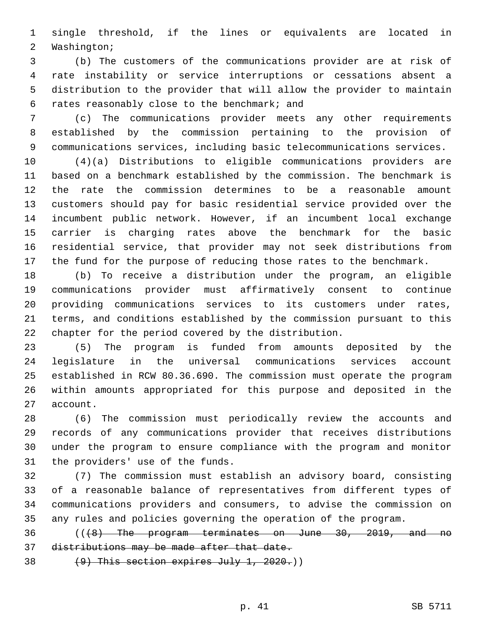single threshold, if the lines or equivalents are located in 2 Washington;

 (b) The customers of the communications provider are at risk of rate instability or service interruptions or cessations absent a distribution to the provider that will allow the provider to maintain rates reasonably close to the benchmark; and6

 (c) The communications provider meets any other requirements established by the commission pertaining to the provision of communications services, including basic telecommunications services.

 (4)(a) Distributions to eligible communications providers are based on a benchmark established by the commission. The benchmark is the rate the commission determines to be a reasonable amount customers should pay for basic residential service provided over the incumbent public network. However, if an incumbent local exchange carrier is charging rates above the benchmark for the basic residential service, that provider may not seek distributions from the fund for the purpose of reducing those rates to the benchmark.

 (b) To receive a distribution under the program, an eligible communications provider must affirmatively consent to continue providing communications services to its customers under rates, terms, and conditions established by the commission pursuant to this chapter for the period covered by the distribution.

 (5) The program is funded from amounts deposited by the legislature in the universal communications services account established in RCW 80.36.690. The commission must operate the program within amounts appropriated for this purpose and deposited in the 27 account.

 (6) The commission must periodically review the accounts and records of any communications provider that receives distributions under the program to ensure compliance with the program and monitor 31 the providers' use of the funds.

 (7) The commission must establish an advisory board, consisting of a reasonable balance of representatives from different types of communications providers and consumers, to advise the commission on any rules and policies governing the operation of the program.

 (((8) The program terminates on June 30, 2019, and no distributions may be made after that date.

38  $(9)$  This section expires July 1, 2020.)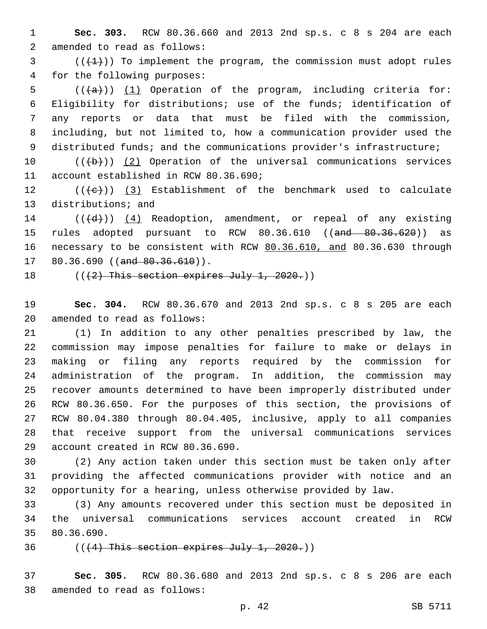1 **Sec. 303.** RCW 80.36.660 and 2013 2nd sp.s. c 8 s 204 are each 2 amended to read as follows:

 $3$  ( $(\frac{1}{1})$ ) To implement the program, the commission must adopt rules 4 for the following purposes:

 $((+a))$   $(1)$  Operation of the program, including criteria for: Eligibility for distributions; use of the funds; identification of any reports or data that must be filed with the commission, including, but not limited to, how a communication provider used the 9 distributed funds; and the communications provider's infrastructure;

10  $((+b))$   $(2)$  Operation of the universal communications services 11 account established in RCW 80.36.690;

12  $((+e))$  (3) Establishment of the benchmark used to calculate 13 distributions; and

 $14$  (( $\left(\frac{d}{d}\right)$ ) (4) Readoption, amendment, or repeal of any existing 15 rules adopted pursuant to RCW 80.36.610 ((and 80.36.620)) as 16 necessary to be consistent with RCW 80.36.610, and 80.36.630 through  $17$  80.36.690 ((and  $80.36.610$ )).

18  $((2)$  This section expires July 1, 2020.)

19 **Sec. 304.** RCW 80.36.670 and 2013 2nd sp.s. c 8 s 205 are each 20 amended to read as follows:

 (1) In addition to any other penalties prescribed by law, the commission may impose penalties for failure to make or delays in making or filing any reports required by the commission for administration of the program. In addition, the commission may recover amounts determined to have been improperly distributed under RCW 80.36.650. For the purposes of this section, the provisions of RCW 80.04.380 through 80.04.405, inclusive, apply to all companies that receive support from the universal communications services 29 account created in RCW 80.36.690.

30 (2) Any action taken under this section must be taken only after 31 providing the affected communications provider with notice and an 32 opportunity for a hearing, unless otherwise provided by law.

33 (3) Any amounts recovered under this section must be deposited in 34 the universal communications services account created in RCW 35 80.36.690.

 $36$  (( $(4)$  This section expires July 1, 2020.))

37 **Sec. 305.** RCW 80.36.680 and 2013 2nd sp.s. c 8 s 206 are each 38 amended to read as follows: